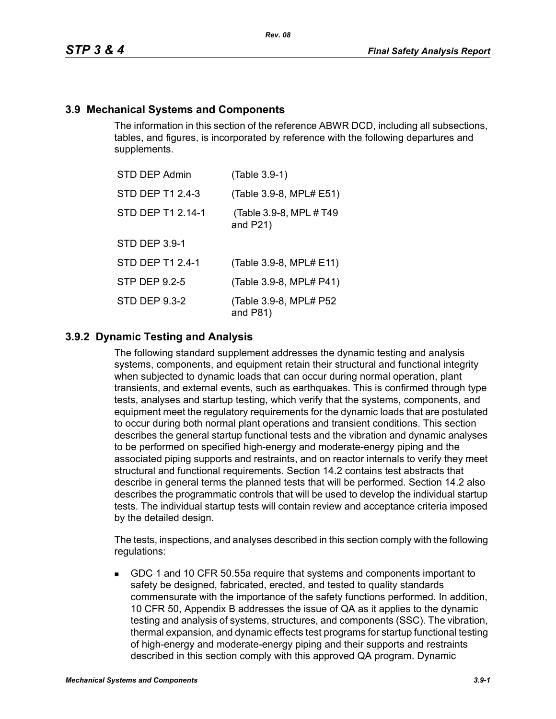# **3.9 Mechanical Systems and Components**

The information in this section of the reference ABWR DCD, including all subsections, tables, and figures, is incorporated by reference with the following departures and supplements.

| <b>STD DEP Admin</b> | (Table 3.9-1)                           |
|----------------------|-----------------------------------------|
| STD DEP T1 2.4-3     | (Table 3.9-8, MPL# E51)                 |
| STD DEP T1 2.14-1    | (Table 3.9-8, MPL # T49)<br>and $P21$ ) |
| <b>STD DEP 3.9-1</b> |                                         |
| STD DEP T1 2.4-1     | (Table 3.9-8, MPL# E11)                 |
| STP DEP 9.2-5        | (Table 3.9-8, MPL# P41)                 |
| <b>STD DEP 9.3-2</b> | (Table 3.9-8, MPL# P52<br>and $P81$ )   |

# **3.9.2 Dynamic Testing and Analysis**

The following standard supplement addresses the dynamic testing and analysis systems, components, and equipment retain their structural and functional integrity when subjected to dynamic loads that can occur during normal operation, plant transients, and external events, such as earthquakes. This is confirmed through type tests, analyses and startup testing, which verify that the systems, components, and equipment meet the regulatory requirements for the dynamic loads that are postulated to occur during both normal plant operations and transient conditions. This section describes the general startup functional tests and the vibration and dynamic analyses to be performed on specified high-energy and moderate-energy piping and the associated piping supports and restraints, and on reactor internals to verify they meet structural and functional requirements. Section 14.2 contains test abstracts that describe in general terms the planned tests that will be performed. Section 14.2 also describes the programmatic controls that will be used to develop the individual startup tests. The individual startup tests will contain review and acceptance criteria imposed by the detailed design.

The tests, inspections, and analyses described in this section comply with the following regulations:

 GDC 1 and 10 CFR 50.55a require that systems and components important to safety be designed, fabricated, erected, and tested to quality standards commensurate with the importance of the safety functions performed. In addition, 10 CFR 50, Appendix B addresses the issue of QA as it applies to the dynamic testing and analysis of systems, structures, and components (SSC). The vibration, thermal expansion, and dynamic effects test programs for startup functional testing of high-energy and moderate-energy piping and their supports and restraints described in this section comply with this approved QA program. Dynamic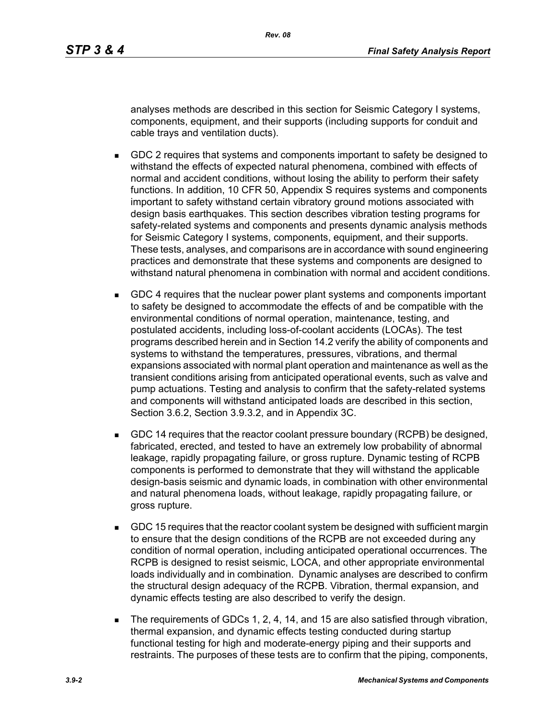analyses methods are described in this section for Seismic Category I systems, components, equipment, and their supports (including supports for conduit and cable trays and ventilation ducts).

- GDC 2 requires that systems and components important to safety be designed to withstand the effects of expected natural phenomena, combined with effects of normal and accident conditions, without losing the ability to perform their safety functions. In addition, 10 CFR 50, Appendix S requires systems and components important to safety withstand certain vibratory ground motions associated with design basis earthquakes. This section describes vibration testing programs for safety-related systems and components and presents dynamic analysis methods for Seismic Category I systems, components, equipment, and their supports. These tests, analyses, and comparisons are in accordance with sound engineering practices and demonstrate that these systems and components are designed to withstand natural phenomena in combination with normal and accident conditions.
- GDC 4 requires that the nuclear power plant systems and components important to safety be designed to accommodate the effects of and be compatible with the environmental conditions of normal operation, maintenance, testing, and postulated accidents, including loss-of-coolant accidents (LOCAs). The test programs described herein and in Section 14.2 verify the ability of components and systems to withstand the temperatures, pressures, vibrations, and thermal expansions associated with normal plant operation and maintenance as well as the transient conditions arising from anticipated operational events, such as valve and pump actuations. Testing and analysis to confirm that the safety-related systems and components will withstand anticipated loads are described in this section, Section 3.6.2, Section 3.9.3.2, and in Appendix 3C.
- GDC 14 requires that the reactor coolant pressure boundary (RCPB) be designed, fabricated, erected, and tested to have an extremely low probability of abnormal leakage, rapidly propagating failure, or gross rupture. Dynamic testing of RCPB components is performed to demonstrate that they will withstand the applicable design-basis seismic and dynamic loads, in combination with other environmental and natural phenomena loads, without leakage, rapidly propagating failure, or gross rupture.
- GDC 15 requires that the reactor coolant system be designed with sufficient margin to ensure that the design conditions of the RCPB are not exceeded during any condition of normal operation, including anticipated operational occurrences. The RCPB is designed to resist seismic, LOCA, and other appropriate environmental loads individually and in combination. Dynamic analyses are described to confirm the structural design adequacy of the RCPB. Vibration, thermal expansion, and dynamic effects testing are also described to verify the design.
- The requirements of GDCs 1, 2, 4, 14, and 15 are also satisfied through vibration, thermal expansion, and dynamic effects testing conducted during startup functional testing for high and moderate-energy piping and their supports and restraints. The purposes of these tests are to confirm that the piping, components,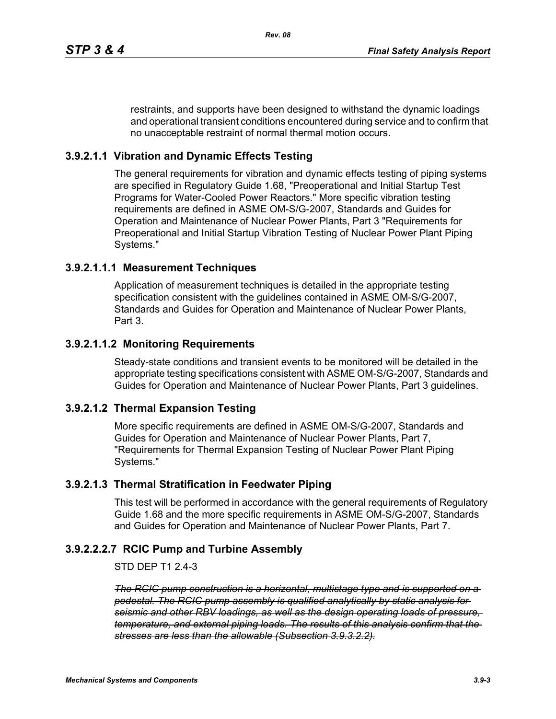restraints, and supports have been designed to withstand the dynamic loadings and operational transient conditions encountered during service and to confirm that no unacceptable restraint of normal thermal motion occurs.

# **3.9.2.1.1 Vibration and Dynamic Effects Testing**

The general requirements for vibration and dynamic effects testing of piping systems are specified in Regulatory Guide 1.68, "Preoperational and Initial Startup Test Programs for Water-Cooled Power Reactors." More specific vibration testing requirements are defined in ASME OM-S/G-2007, Standards and Guides for Operation and Maintenance of Nuclear Power Plants, Part 3 "Requirements for Preoperational and Initial Startup Vibration Testing of Nuclear Power Plant Piping Systems."

#### **3.9.2.1.1.1 Measurement Techniques**

Application of measurement techniques is detailed in the appropriate testing specification consistent with the guidelines contained in ASME OM-S/G-2007, Standards and Guides for Operation and Maintenance of Nuclear Power Plants, Part 3.

# **3.9.2.1.1.2 Monitoring Requirements**

Steady-state conditions and transient events to be monitored will be detailed in the appropriate testing specifications consistent with ASME OM-S/G-2007, Standards and Guides for Operation and Maintenance of Nuclear Power Plants, Part 3 guidelines.

# **3.9.2.1.2 Thermal Expansion Testing**

More specific requirements are defined in ASME OM-S/G-2007, Standards and Guides for Operation and Maintenance of Nuclear Power Plants, Part 7, "Requirements for Thermal Expansion Testing of Nuclear Power Plant Piping Systems."

# **3.9.2.1.3 Thermal Stratification in Feedwater Piping**

This test will be performed in accordance with the general requirements of Regulatory Guide 1.68 and the more specific requirements in ASME OM-S/G-2007, Standards and Guides for Operation and Maintenance of Nuclear Power Plants, Part 7.

# **3.9.2.2.2.7 RCIC Pump and Turbine Assembly**

STD DEP T1 2.4-3

*The RCIC pump construction is a horizontal, multistage type and is supported on a pedestal. The RCIC pump assembly is qualified analytically by static analysis for seismic and other RBV loadings, as well as the design operating loads of pressure, temperature, and external piping loads. The results of this analysis confirm that the stresses are less than the allowable (Subsection 3.9.3.2.2).*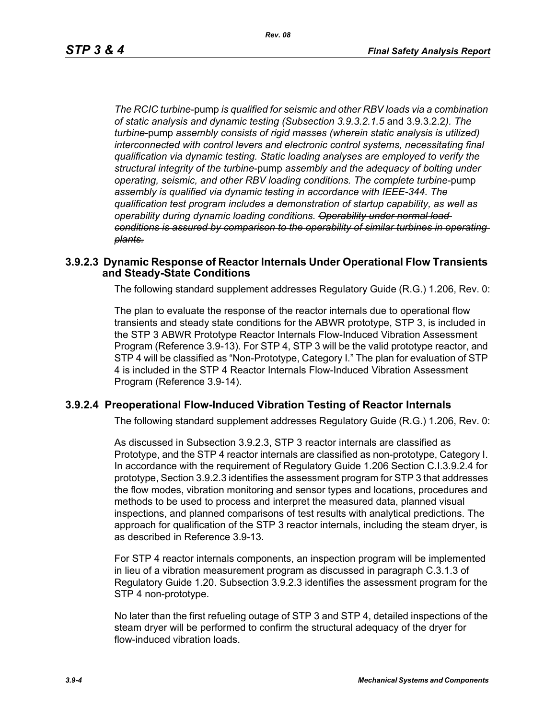*The RCIC turbine*-pump *is qualified for seismic and other RBV loads via a combination of static analysis and dynamic testing (Subsection 3.9.3.2.1.5* and 3.9.3.2.2*). The turbine*-pump *assembly consists of rigid masses (wherein static analysis is utilized) interconnected with control levers and electronic control systems, necessitating final qualification via dynamic testing. Static loading analyses are employed to verify the structural integrity of the turbine*-pump *assembly and the adequacy of bolting under operating, seismic, and other RBV loading conditions. The complete turbine*-pump *assembly is qualified via dynamic testing in accordance with IEEE-344. The qualification test program includes a demonstration of startup capability, as well as operability during dynamic loading conditions. Operability under normal load conditions is assured by comparison to the operability of similar turbines in operating plants.*

#### **3.9.2.3 Dynamic Response of Reactor Internals Under Operational Flow Transients and Steady-State Conditions**

The following standard supplement addresses Regulatory Guide (R.G.) 1.206, Rev. 0:

The plan to evaluate the response of the reactor internals due to operational flow transients and steady state conditions for the ABWR prototype, STP 3, is included in the STP 3 ABWR Prototype Reactor Internals Flow-Induced Vibration Assessment Program (Reference 3.9-13). For STP 4, STP 3 will be the valid prototype reactor, and STP 4 will be classified as "Non-Prototype, Category I." The plan for evaluation of STP 4 is included in the STP 4 Reactor Internals Flow-Induced Vibration Assessment Program (Reference 3.9-14).

#### **3.9.2.4 Preoperational Flow-Induced Vibration Testing of Reactor Internals**

The following standard supplement addresses Regulatory Guide (R.G.) 1.206, Rev. 0:

As discussed in Subsection 3.9.2.3, STP 3 reactor internals are classified as Prototype, and the STP 4 reactor internals are classified as non-prototype, Category I. In accordance with the requirement of Regulatory Guide 1.206 Section C.I.3.9.2.4 for prototype, Section 3.9.2.3 identifies the assessment program for STP 3 that addresses the flow modes, vibration monitoring and sensor types and locations, procedures and methods to be used to process and interpret the measured data, planned visual inspections, and planned comparisons of test results with analytical predictions. The approach for qualification of the STP 3 reactor internals, including the steam dryer, is as described in Reference 3.9-13.

For STP 4 reactor internals components, an inspection program will be implemented in lieu of a vibration measurement program as discussed in paragraph C.3.1.3 of Regulatory Guide 1.20. Subsection 3.9.2.3 identifies the assessment program for the STP 4 non-prototype.

No later than the first refueling outage of STP 3 and STP 4, detailed inspections of the steam dryer will be performed to confirm the structural adequacy of the dryer for flow-induced vibration loads.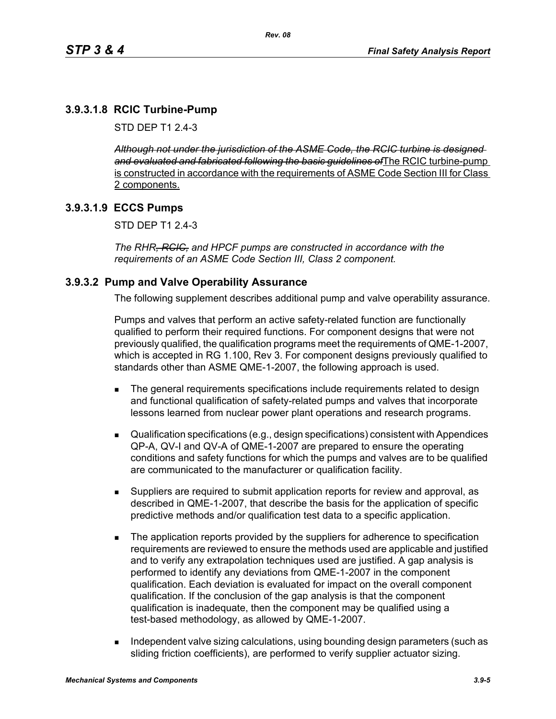# **3.9.3.1.8 RCIC Turbine-Pump**

STD DFP T1 2 4-3

*Although not under the jurisdiction of the ASME Code, the RCIC turbine is designed and evaluated and fabricated following the basic guidelines of*The RCIC turbine-pump is constructed in accordance with the requirements of ASME Code Section III for Class 2 components.

#### **3.9.3.1.9 ECCS Pumps**

STD DEP T1 2.4-3

*The RHR, RCIC, and HPCF pumps are constructed in accordance with the requirements of an ASME Code Section III, Class 2 component.*

#### **3.9.3.2 Pump and Valve Operability Assurance**

The following supplement describes additional pump and valve operability assurance.

Pumps and valves that perform an active safety-related function are functionally qualified to perform their required functions. For component designs that were not previously qualified, the qualification programs meet the requirements of QME-1-2007, which is accepted in RG 1.100, Rev 3. For component designs previously qualified to standards other than ASME QME-1-2007, the following approach is used.

- The general requirements specifications include requirements related to design and functional qualification of safety-related pumps and valves that incorporate lessons learned from nuclear power plant operations and research programs.
- Qualification specifications (e.g., design specifications) consistent with Appendices QP-A, QV-I and QV-A of QME-1-2007 are prepared to ensure the operating conditions and safety functions for which the pumps and valves are to be qualified are communicated to the manufacturer or qualification facility.
- Suppliers are required to submit application reports for review and approval, as described in QME-1-2007, that describe the basis for the application of specific predictive methods and/or qualification test data to a specific application.
- The application reports provided by the suppliers for adherence to specification requirements are reviewed to ensure the methods used are applicable and justified and to verify any extrapolation techniques used are justified. A gap analysis is performed to identify any deviations from QME-1-2007 in the component qualification. Each deviation is evaluated for impact on the overall component qualification. If the conclusion of the gap analysis is that the component qualification is inadequate, then the component may be qualified using a test-based methodology, as allowed by QME-1-2007.
- Independent valve sizing calculations, using bounding design parameters (such as sliding friction coefficients), are performed to verify supplier actuator sizing.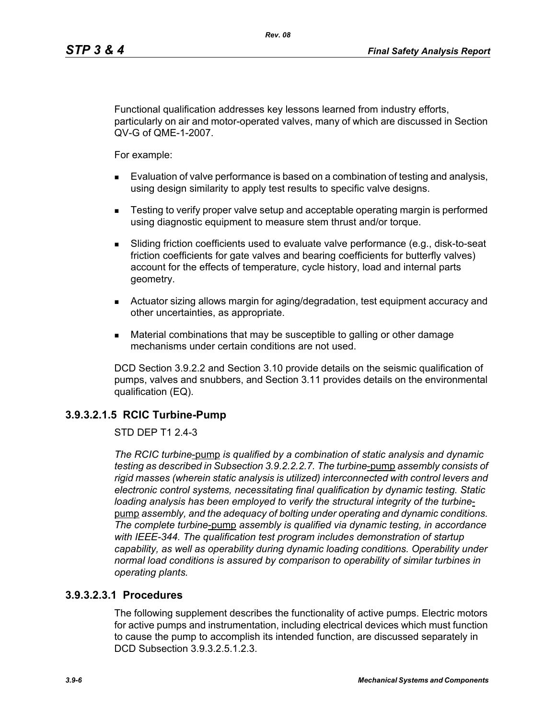Functional qualification addresses key lessons learned from industry efforts, particularly on air and motor-operated valves, many of which are discussed in Section QV-G of QME-1-2007.

*Rev. 08*

For example:

- Evaluation of valve performance is based on a combination of testing and analysis, using design similarity to apply test results to specific valve designs.
- **EXECT** Testing to verify proper valve setup and acceptable operating margin is performed using diagnostic equipment to measure stem thrust and/or torque.
- Sliding friction coefficients used to evaluate valve performance (e.g., disk-to-seat friction coefficients for gate valves and bearing coefficients for butterfly valves) account for the effects of temperature, cycle history, load and internal parts geometry.
- Actuator sizing allows margin for aging/degradation, test equipment accuracy and other uncertainties, as appropriate.
- Material combinations that may be susceptible to galling or other damage mechanisms under certain conditions are not used.

DCD Section 3.9.2.2 and Section 3.10 provide details on the seismic qualification of pumps, valves and snubbers, and Section 3.11 provides details on the environmental qualification (EQ).

#### **3.9.3.2.1.5 RCIC Turbine-Pump**

STD DEP T1 2.4-3

*The RCIC turbine*-pump *is qualified by a combination of static analysis and dynamic testing as described in Subsection 3.9.2.2.2.7. The turbine*-pump *assembly consists of rigid masses (wherein static analysis is utilized) interconnected with control levers and electronic control systems, necessitating final qualification by dynamic testing. Static loading analysis has been employed to verify the structural integrity of the turbine*pump *assembly, and the adequacy of bolting under operating and dynamic conditions. The complete turbine*-pump *assembly is qualified via dynamic testing, in accordance with IEEE-344. The qualification test program includes demonstration of startup capability, as well as operability during dynamic loading conditions. Operability under normal load conditions is assured by comparison to operability of similar turbines in operating plants.*

#### **3.9.3.2.3.1 Procedures**

The following supplement describes the functionality of active pumps. Electric motors for active pumps and instrumentation, including electrical devices which must function to cause the pump to accomplish its intended function, are discussed separately in DCD Subsection 3.9.3.2.5.1.2.3.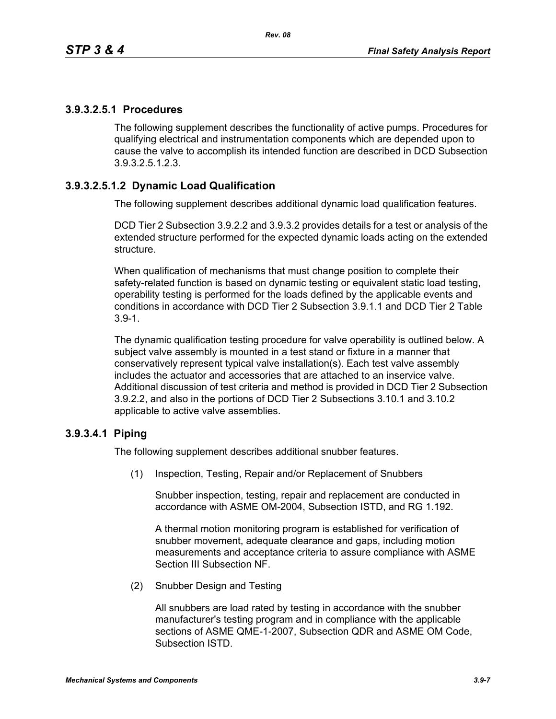#### **3.9.3.2.5.1 Procedures**

The following supplement describes the functionality of active pumps. Procedures for qualifying electrical and instrumentation components which are depended upon to cause the valve to accomplish its intended function are described in DCD Subsection 3.9.3.2.5.1.2.3.

# **3.9.3.2.5.1.2 Dynamic Load Qualification**

The following supplement describes additional dynamic load qualification features.

DCD Tier 2 Subsection 3.9.2.2 and 3.9.3.2 provides details for a test or analysis of the extended structure performed for the expected dynamic loads acting on the extended structure.

When qualification of mechanisms that must change position to complete their safety-related function is based on dynamic testing or equivalent static load testing, operability testing is performed for the loads defined by the applicable events and conditions in accordance with DCD Tier 2 Subsection 3.9.1.1 and DCD Tier 2 Table 3.9-1.

The dynamic qualification testing procedure for valve operability is outlined below. A subject valve assembly is mounted in a test stand or fixture in a manner that conservatively represent typical valve installation(s). Each test valve assembly includes the actuator and accessories that are attached to an inservice valve. Additional discussion of test criteria and method is provided in DCD Tier 2 Subsection 3.9.2.2, and also in the portions of DCD Tier 2 Subsections 3.10.1 and 3.10.2 applicable to active valve assemblies.

# **3.9.3.4.1 Piping**

The following supplement describes additional snubber features.

(1) Inspection, Testing, Repair and/or Replacement of Snubbers

Snubber inspection, testing, repair and replacement are conducted in accordance with ASME OM-2004, Subsection ISTD, and RG 1.192.

A thermal motion monitoring program is established for verification of snubber movement, adequate clearance and gaps, including motion measurements and acceptance criteria to assure compliance with ASME Section III Subsection NF.

(2) Snubber Design and Testing

All snubbers are load rated by testing in accordance with the snubber manufacturer's testing program and in compliance with the applicable sections of ASME QME-1-2007, Subsection QDR and ASME OM Code, Subsection ISTD.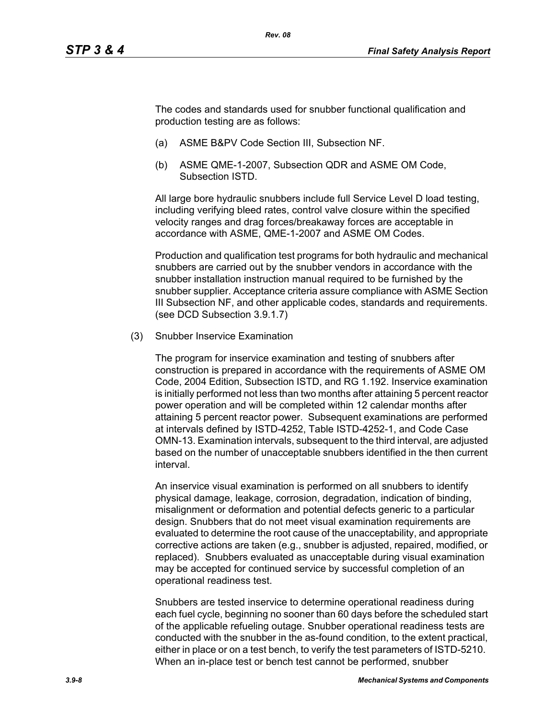The codes and standards used for snubber functional qualification and production testing are as follows:

- (a) ASME B&PV Code Section III, Subsection NF.
- (b) ASME QME-1-2007, Subsection QDR and ASME OM Code, Subsection ISTD.

All large bore hydraulic snubbers include full Service Level D load testing, including verifying bleed rates, control valve closure within the specified velocity ranges and drag forces/breakaway forces are acceptable in accordance with ASME, QME-1-2007 and ASME OM Codes.

Production and qualification test programs for both hydraulic and mechanical snubbers are carried out by the snubber vendors in accordance with the snubber installation instruction manual required to be furnished by the snubber supplier. Acceptance criteria assure compliance with ASME Section III Subsection NF, and other applicable codes, standards and requirements. (see DCD Subsection 3.9.1.7)

(3) Snubber Inservice Examination

The program for inservice examination and testing of snubbers after construction is prepared in accordance with the requirements of ASME OM Code, 2004 Edition, Subsection ISTD, and RG 1.192. Inservice examination is initially performed not less than two months after attaining 5 percent reactor power operation and will be completed within 12 calendar months after attaining 5 percent reactor power. Subsequent examinations are performed at intervals defined by ISTD-4252, Table ISTD-4252-1, and Code Case OMN-13. Examination intervals, subsequent to the third interval, are adjusted based on the number of unacceptable snubbers identified in the then current interval.

An inservice visual examination is performed on all snubbers to identify physical damage, leakage, corrosion, degradation, indication of binding, misalignment or deformation and potential defects generic to a particular design. Snubbers that do not meet visual examination requirements are evaluated to determine the root cause of the unacceptability, and appropriate corrective actions are taken (e.g., snubber is adjusted, repaired, modified, or replaced). Snubbers evaluated as unacceptable during visual examination may be accepted for continued service by successful completion of an operational readiness test.

Snubbers are tested inservice to determine operational readiness during each fuel cycle, beginning no sooner than 60 days before the scheduled start of the applicable refueling outage. Snubber operational readiness tests are conducted with the snubber in the as-found condition, to the extent practical, either in place or on a test bench, to verify the test parameters of ISTD-5210. When an in-place test or bench test cannot be performed, snubber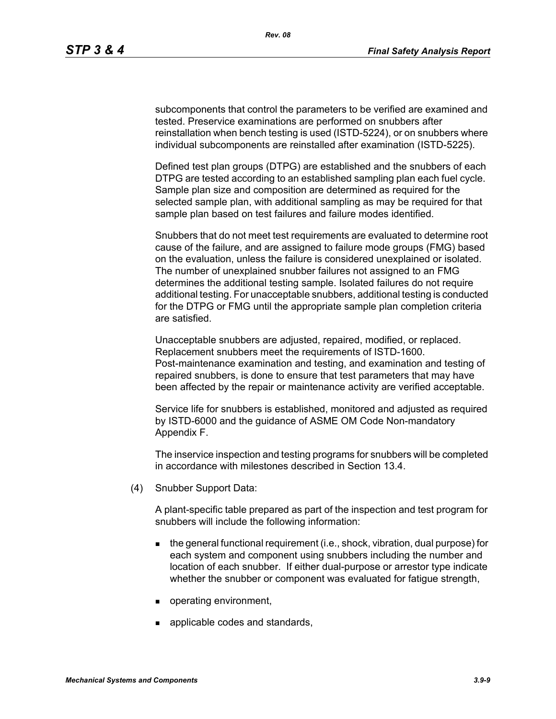subcomponents that control the parameters to be verified are examined and tested. Preservice examinations are performed on snubbers after reinstallation when bench testing is used (ISTD-5224), or on snubbers where individual subcomponents are reinstalled after examination (ISTD-5225).

Defined test plan groups (DTPG) are established and the snubbers of each DTPG are tested according to an established sampling plan each fuel cycle. Sample plan size and composition are determined as required for the selected sample plan, with additional sampling as may be required for that sample plan based on test failures and failure modes identified.

Snubbers that do not meet test requirements are evaluated to determine root cause of the failure, and are assigned to failure mode groups (FMG) based on the evaluation, unless the failure is considered unexplained or isolated. The number of unexplained snubber failures not assigned to an FMG determines the additional testing sample. Isolated failures do not require additional testing. For unacceptable snubbers, additional testing is conducted for the DTPG or FMG until the appropriate sample plan completion criteria are satisfied.

Unacceptable snubbers are adjusted, repaired, modified, or replaced. Replacement snubbers meet the requirements of ISTD-1600. Post-maintenance examination and testing, and examination and testing of repaired snubbers, is done to ensure that test parameters that may have been affected by the repair or maintenance activity are verified acceptable.

Service life for snubbers is established, monitored and adjusted as required by ISTD-6000 and the guidance of ASME OM Code Non-mandatory Appendix F.

The inservice inspection and testing programs for snubbers will be completed in accordance with milestones described in Section 13.4.

(4) Snubber Support Data:

A plant-specific table prepared as part of the inspection and test program for snubbers will include the following information:

- the general functional requirement (i.e., shock, vibration, dual purpose) for each system and component using snubbers including the number and location of each snubber. If either dual-purpose or arrestor type indicate whether the snubber or component was evaluated for fatigue strength,
- operating environment,
- **a** applicable codes and standards,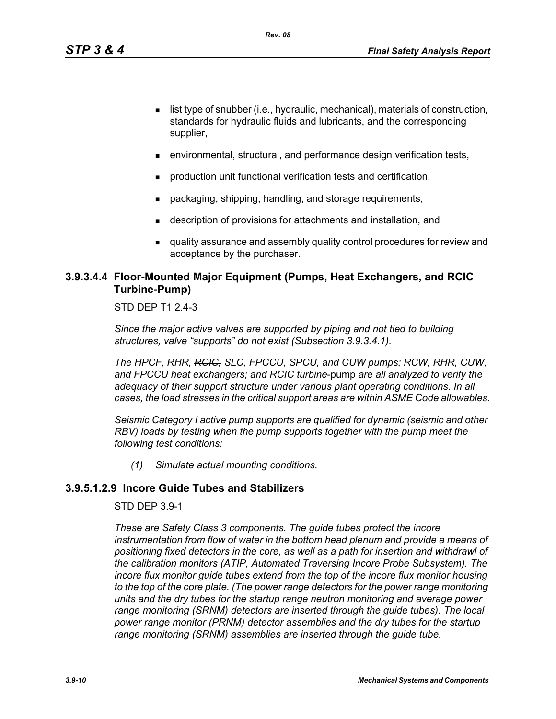- $\blacksquare$  list type of snubber (i.e., hydraulic, mechanical), materials of construction, standards for hydraulic fluids and lubricants, and the corresponding supplier,
- environmental, structural, and performance design verification tests,
- production unit functional verification tests and certification,
- packaging, shipping, handling, and storage requirements,
- description of provisions for attachments and installation, and
- quality assurance and assembly quality control procedures for review and acceptance by the purchaser.

# **3.9.3.4.4 Floor-Mounted Major Equipment (Pumps, Heat Exchangers, and RCIC Turbine-Pump)**

STD DEP T1 2.4-3

*Since the major active valves are supported by piping and not tied to building structures, valve "supports" do not exist (Subsection 3.9.3.4.1).*

*The HPCF, RHR, RCIC, SLC, FPCCU, SPCU, and CUW pumps; RCW, RHR, CUW, and FPCCU heat exchangers; and RCIC turbine*-pump *are all analyzed to verify the adequacy of their support structure under various plant operating conditions. In all cases, the load stresses in the critical support areas are within ASME Code allowables.*

*Seismic Category I active pump supports are qualified for dynamic (seismic and other RBV*) loads by testing when the pump supports together with the pump meet the *following test conditions:*

*(1) Simulate actual mounting conditions.*

# **3.9.5.1.2.9 Incore Guide Tubes and Stabilizers**

STD DEP 3.9-1

*These are Safety Class 3 components. The guide tubes protect the incore*  instrumentation from flow of water in the bottom head plenum and provide a means of *positioning fixed detectors in the core, as well as a path for insertion and withdrawl of the calibration monitors (ATIP, Automated Traversing Incore Probe Subsystem). The incore flux monitor guide tubes extend from the top of the incore flux monitor housing to the top of the core plate. (The power range detectors for the power range monitoring units and the dry tubes for the startup range neutron monitoring and average power range monitoring (SRNM) detectors are inserted through the guide tubes). The local power range monitor (PRNM) detector assemblies and the dry tubes for the startup range monitoring (SRNM) assemblies are inserted through the guide tube.*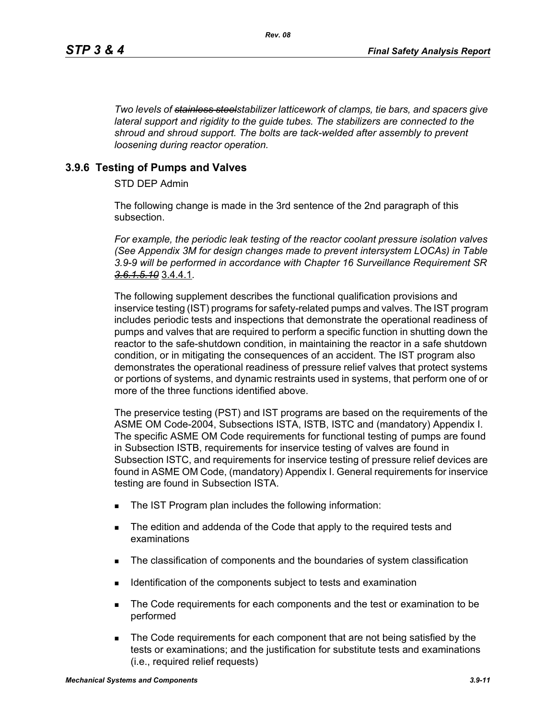*Two levels of stainless steelstabilizer latticework of clamps, tie bars, and spacers give lateral support and rigidity to the guide tubes. The stabilizers are connected to the shroud and shroud support. The bolts are tack-welded after assembly to prevent loosening during reactor operation.*

## **3.9.6 Testing of Pumps and Valves**

STD DEP Admin

The following change is made in the 3rd sentence of the 2nd paragraph of this subsection.

*For example, the periodic leak testing of the reactor coolant pressure isolation valves (See Appendix 3M for design changes made to prevent intersystem LOCAs) in Table 3.9-9 will be performed in accordance with Chapter 16 Surveillance Requirement SR 3.6.1.5.10* 3.4.4.1*.*

The following supplement describes the functional qualification provisions and inservice testing (IST) programs for safety-related pumps and valves. The IST program includes periodic tests and inspections that demonstrate the operational readiness of pumps and valves that are required to perform a specific function in shutting down the reactor to the safe-shutdown condition, in maintaining the reactor in a safe shutdown condition, or in mitigating the consequences of an accident. The IST program also demonstrates the operational readiness of pressure relief valves that protect systems or portions of systems, and dynamic restraints used in systems, that perform one of or more of the three functions identified above.

The preservice testing (PST) and IST programs are based on the requirements of the ASME OM Code-2004, Subsections ISTA, ISTB, ISTC and (mandatory) Appendix I. The specific ASME OM Code requirements for functional testing of pumps are found in Subsection ISTB, requirements for inservice testing of valves are found in Subsection ISTC, and requirements for inservice testing of pressure relief devices are found in ASME OM Code, (mandatory) Appendix I. General requirements for inservice testing are found in Subsection ISTA.

- The IST Program plan includes the following information:
- The edition and addenda of the Code that apply to the required tests and examinations
- The classification of components and the boundaries of system classification
- Identification of the components subject to tests and examination
- The Code requirements for each components and the test or examination to be performed
- The Code requirements for each component that are not being satisfied by the tests or examinations; and the justification for substitute tests and examinations (i.e., required relief requests)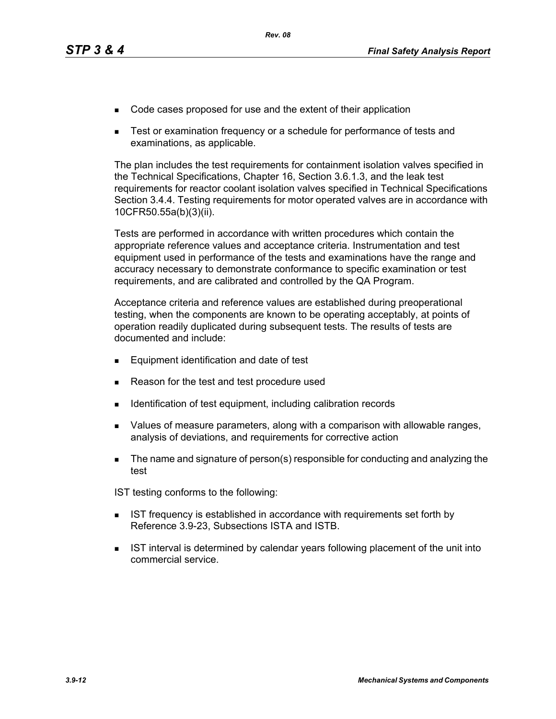- Code cases proposed for use and the extent of their application
- Test or examination frequency or a schedule for performance of tests and examinations, as applicable.

The plan includes the test requirements for containment isolation valves specified in the Technical Specifications, Chapter 16, Section 3.6.1.3, and the leak test requirements for reactor coolant isolation valves specified in Technical Specifications Section 3.4.4. Testing requirements for motor operated valves are in accordance with 10CFR50.55a(b)(3)(ii).

Tests are performed in accordance with written procedures which contain the appropriate reference values and acceptance criteria. Instrumentation and test equipment used in performance of the tests and examinations have the range and accuracy necessary to demonstrate conformance to specific examination or test requirements, and are calibrated and controlled by the QA Program.

Acceptance criteria and reference values are established during preoperational testing, when the components are known to be operating acceptably, at points of operation readily duplicated during subsequent tests. The results of tests are documented and include:

- **Equipment identification and date of test**
- Reason for the test and test procedure used
- **IDENTIFICATE IDENTIFICATE:** Identification of test equipment, including calibration records
- Values of measure parameters, along with a comparison with allowable ranges, analysis of deviations, and requirements for corrective action
- The name and signature of person(s) responsible for conducting and analyzing the test

IST testing conforms to the following:

- **IST frequency is established in accordance with requirements set forth by** Reference 3.9-23, Subsections ISTA and ISTB.
- **IST interval is determined by calendar years following placement of the unit into** commercial service.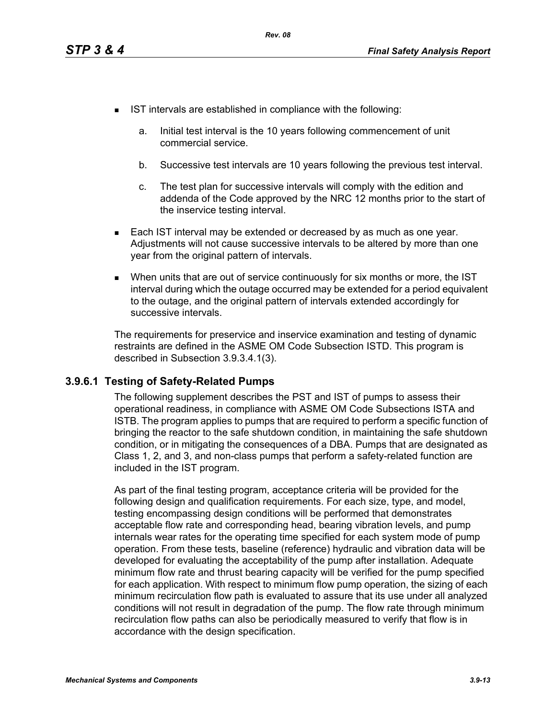- **IST** intervals are established in compliance with the following:
	- a. Initial test interval is the 10 years following commencement of unit commercial service.
	- b. Successive test intervals are 10 years following the previous test interval.
	- c. The test plan for successive intervals will comply with the edition and addenda of the Code approved by the NRC 12 months prior to the start of the inservice testing interval.
- **Each IST interval may be extended or decreased by as much as one year.** Adjustments will not cause successive intervals to be altered by more than one year from the original pattern of intervals.
- When units that are out of service continuously for six months or more, the IST interval during which the outage occurred may be extended for a period equivalent to the outage, and the original pattern of intervals extended accordingly for successive intervals.

The requirements for preservice and inservice examination and testing of dynamic restraints are defined in the ASME OM Code Subsection ISTD. This program is described in Subsection 3.9.3.4.1(3).

# **3.9.6.1 Testing of Safety-Related Pumps**

The following supplement describes the PST and IST of pumps to assess their operational readiness, in compliance with ASME OM Code Subsections ISTA and ISTB. The program applies to pumps that are required to perform a specific function of bringing the reactor to the safe shutdown condition, in maintaining the safe shutdown condition, or in mitigating the consequences of a DBA. Pumps that are designated as Class 1, 2, and 3, and non-class pumps that perform a safety-related function are included in the IST program.

As part of the final testing program, acceptance criteria will be provided for the following design and qualification requirements. For each size, type, and model, testing encompassing design conditions will be performed that demonstrates acceptable flow rate and corresponding head, bearing vibration levels, and pump internals wear rates for the operating time specified for each system mode of pump operation. From these tests, baseline (reference) hydraulic and vibration data will be developed for evaluating the acceptability of the pump after installation. Adequate minimum flow rate and thrust bearing capacity will be verified for the pump specified for each application. With respect to minimum flow pump operation, the sizing of each minimum recirculation flow path is evaluated to assure that its use under all analyzed conditions will not result in degradation of the pump. The flow rate through minimum recirculation flow paths can also be periodically measured to verify that flow is in accordance with the design specification.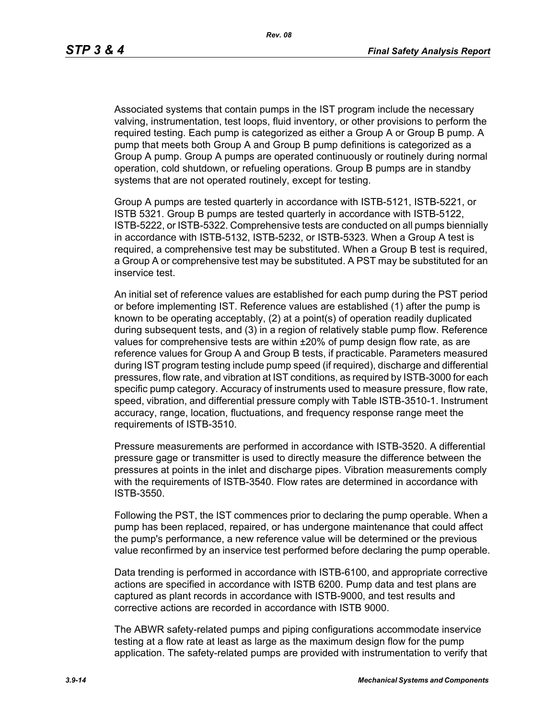Associated systems that contain pumps in the IST program include the necessary valving, instrumentation, test loops, fluid inventory, or other provisions to perform the required testing. Each pump is categorized as either a Group A or Group B pump. A pump that meets both Group A and Group B pump definitions is categorized as a Group A pump. Group A pumps are operated continuously or routinely during normal operation, cold shutdown, or refueling operations. Group B pumps are in standby systems that are not operated routinely, except for testing.

Group A pumps are tested quarterly in accordance with ISTB-5121, ISTB-5221, or ISTB 5321. Group B pumps are tested quarterly in accordance with ISTB-5122, ISTB-5222, or ISTB-5322. Comprehensive tests are conducted on all pumps biennially in accordance with ISTB-5132, ISTB-5232, or ISTB-5323. When a Group A test is required, a comprehensive test may be substituted. When a Group B test is required, a Group A or comprehensive test may be substituted. A PST may be substituted for an inservice test.

An initial set of reference values are established for each pump during the PST period or before implementing IST. Reference values are established (1) after the pump is known to be operating acceptably, (2) at a point(s) of operation readily duplicated during subsequent tests, and (3) in a region of relatively stable pump flow. Reference values for comprehensive tests are within ±20% of pump design flow rate, as are reference values for Group A and Group B tests, if practicable. Parameters measured during IST program testing include pump speed (if required), discharge and differential pressures, flow rate, and vibration at IST conditions, as required by ISTB-3000 for each specific pump category. Accuracy of instruments used to measure pressure, flow rate, speed, vibration, and differential pressure comply with Table ISTB-3510-1. Instrument accuracy, range, location, fluctuations, and frequency response range meet the requirements of ISTB-3510.

Pressure measurements are performed in accordance with ISTB-3520. A differential pressure gage or transmitter is used to directly measure the difference between the pressures at points in the inlet and discharge pipes. Vibration measurements comply with the requirements of ISTB-3540. Flow rates are determined in accordance with ISTB-3550.

Following the PST, the IST commences prior to declaring the pump operable. When a pump has been replaced, repaired, or has undergone maintenance that could affect the pump's performance, a new reference value will be determined or the previous value reconfirmed by an inservice test performed before declaring the pump operable.

Data trending is performed in accordance with ISTB-6100, and appropriate corrective actions are specified in accordance with ISTB 6200. Pump data and test plans are captured as plant records in accordance with ISTB-9000, and test results and corrective actions are recorded in accordance with ISTB 9000.

The ABWR safety-related pumps and piping configurations accommodate inservice testing at a flow rate at least as large as the maximum design flow for the pump application. The safety-related pumps are provided with instrumentation to verify that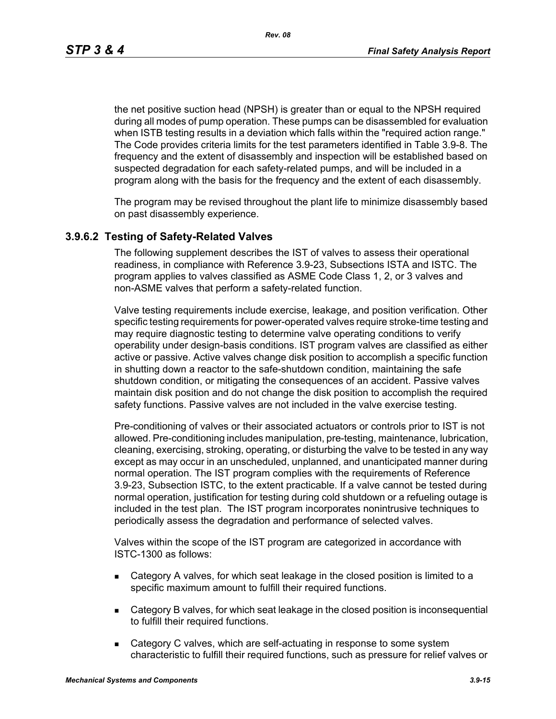*Rev. 08*

the net positive suction head (NPSH) is greater than or equal to the NPSH required during all modes of pump operation. These pumps can be disassembled for evaluation when ISTB testing results in a deviation which falls within the "required action range." The Code provides criteria limits for the test parameters identified in Table 3.9-8. The frequency and the extent of disassembly and inspection will be established based on suspected degradation for each safety-related pumps, and will be included in a program along with the basis for the frequency and the extent of each disassembly.

The program may be revised throughout the plant life to minimize disassembly based on past disassembly experience.

#### **3.9.6.2 Testing of Safety-Related Valves**

The following supplement describes the IST of valves to assess their operational readiness, in compliance with Reference 3.9-23, Subsections ISTA and ISTC. The program applies to valves classified as ASME Code Class 1, 2, or 3 valves and non-ASME valves that perform a safety-related function.

Valve testing requirements include exercise, leakage, and position verification. Other specific testing requirements for power-operated valves require stroke-time testing and may require diagnostic testing to determine valve operating conditions to verify operability under design-basis conditions. IST program valves are classified as either active or passive. Active valves change disk position to accomplish a specific function in shutting down a reactor to the safe-shutdown condition, maintaining the safe shutdown condition, or mitigating the consequences of an accident. Passive valves maintain disk position and do not change the disk position to accomplish the required safety functions. Passive valves are not included in the valve exercise testing.

Pre-conditioning of valves or their associated actuators or controls prior to IST is not allowed. Pre-conditioning includes manipulation, pre-testing, maintenance, lubrication, cleaning, exercising, stroking, operating, or disturbing the valve to be tested in any way except as may occur in an unscheduled, unplanned, and unanticipated manner during normal operation. The IST program complies with the requirements of Reference 3.9-23, Subsection ISTC, to the extent practicable. If a valve cannot be tested during normal operation, justification for testing during cold shutdown or a refueling outage is included in the test plan. The IST program incorporates nonintrusive techniques to periodically assess the degradation and performance of selected valves.

Valves within the scope of the IST program are categorized in accordance with ISTC-1300 as follows:

- Category A valves, for which seat leakage in the closed position is limited to a specific maximum amount to fulfill their required functions.
- Category B valves, for which seat leakage in the closed position is inconsequential to fulfill their required functions.
- **EXEC** C valves, which are self-actuating in response to some system characteristic to fulfill their required functions, such as pressure for relief valves or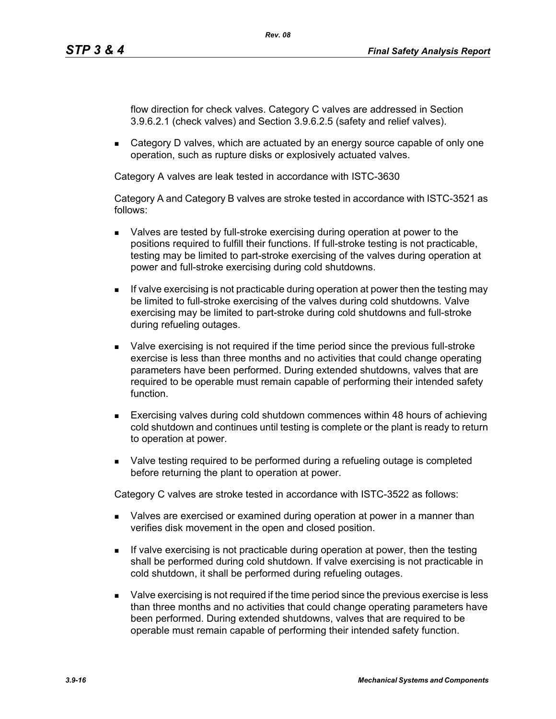flow direction for check valves. Category C valves are addressed in Section 3.9.6.2.1 (check valves) and Section 3.9.6.2.5 (safety and relief valves).

**EXECTED** Category D valves, which are actuated by an energy source capable of only one operation, such as rupture disks or explosively actuated valves.

Category A valves are leak tested in accordance with ISTC-3630

Category A and Category B valves are stroke tested in accordance with ISTC-3521 as follows:

- Valves are tested by full-stroke exercising during operation at power to the positions required to fulfill their functions. If full-stroke testing is not practicable, testing may be limited to part-stroke exercising of the valves during operation at power and full-stroke exercising during cold shutdowns.
- $\blacksquare$  If valve exercising is not practicable during operation at power then the testing may be limited to full-stroke exercising of the valves during cold shutdowns. Valve exercising may be limited to part-stroke during cold shutdowns and full-stroke during refueling outages.
- Valve exercising is not required if the time period since the previous full-stroke exercise is less than three months and no activities that could change operating parameters have been performed. During extended shutdowns, valves that are required to be operable must remain capable of performing their intended safety function.
- Exercising valves during cold shutdown commences within 48 hours of achieving cold shutdown and continues until testing is complete or the plant is ready to return to operation at power.
- Valve testing required to be performed during a refueling outage is completed before returning the plant to operation at power.

Category C valves are stroke tested in accordance with ISTC-3522 as follows:

- Valves are exercised or examined during operation at power in a manner than verifies disk movement in the open and closed position.
- If valve exercising is not practicable during operation at power, then the testing shall be performed during cold shutdown. If valve exercising is not practicable in cold shutdown, it shall be performed during refueling outages.
- Valve exercising is not required if the time period since the previous exercise is less than three months and no activities that could change operating parameters have been performed. During extended shutdowns, valves that are required to be operable must remain capable of performing their intended safety function.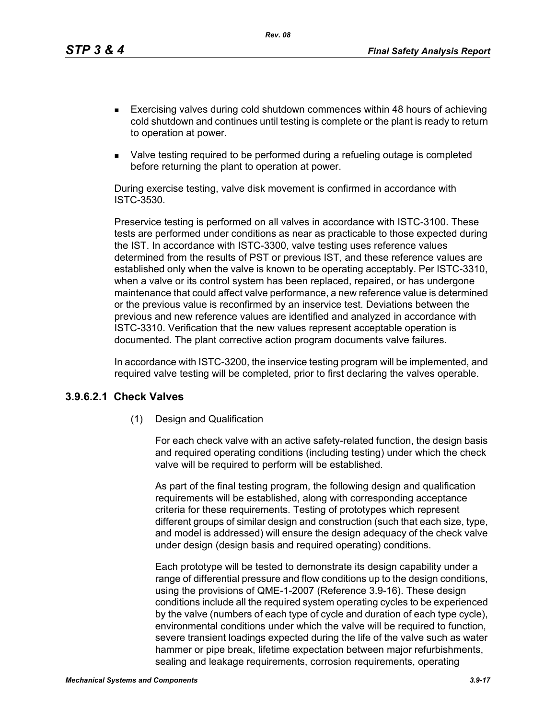*Rev. 08*

- Exercising valves during cold shutdown commences within 48 hours of achieving cold shutdown and continues until testing is complete or the plant is ready to return to operation at power.
- Valve testing required to be performed during a refueling outage is completed before returning the plant to operation at power.

During exercise testing, valve disk movement is confirmed in accordance with ISTC-3530.

Preservice testing is performed on all valves in accordance with ISTC-3100. These tests are performed under conditions as near as practicable to those expected during the IST. In accordance with ISTC-3300, valve testing uses reference values determined from the results of PST or previous IST, and these reference values are established only when the valve is known to be operating acceptably. Per ISTC-3310, when a valve or its control system has been replaced, repaired, or has undergone maintenance that could affect valve performance, a new reference value is determined or the previous value is reconfirmed by an inservice test. Deviations between the previous and new reference values are identified and analyzed in accordance with ISTC-3310. Verification that the new values represent acceptable operation is documented. The plant corrective action program documents valve failures.

In accordance with ISTC-3200, the inservice testing program will be implemented, and required valve testing will be completed, prior to first declaring the valves operable.

#### **3.9.6.2.1 Check Valves**

(1) Design and Qualification

For each check valve with an active safety-related function, the design basis and required operating conditions (including testing) under which the check valve will be required to perform will be established.

As part of the final testing program, the following design and qualification requirements will be established, along with corresponding acceptance criteria for these requirements. Testing of prototypes which represent different groups of similar design and construction (such that each size, type, and model is addressed) will ensure the design adequacy of the check valve under design (design basis and required operating) conditions.

Each prototype will be tested to demonstrate its design capability under a range of differential pressure and flow conditions up to the design conditions, using the provisions of QME-1-2007 (Reference 3.9-16). These design conditions include all the required system operating cycles to be experienced by the valve (numbers of each type of cycle and duration of each type cycle), environmental conditions under which the valve will be required to function, severe transient loadings expected during the life of the valve such as water hammer or pipe break, lifetime expectation between major refurbishments, sealing and leakage requirements, corrosion requirements, operating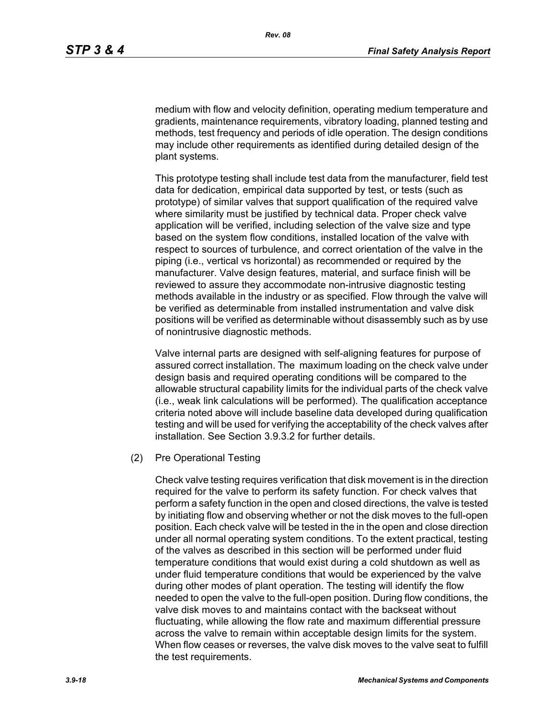medium with flow and velocity definition, operating medium temperature and gradients, maintenance requirements, vibratory loading, planned testing and methods, test frequency and periods of idle operation. The design conditions may include other requirements as identified during detailed design of the plant systems.

This prototype testing shall include test data from the manufacturer, field test data for dedication, empirical data supported by test, or tests (such as prototype) of similar valves that support qualification of the required valve where similarity must be justified by technical data. Proper check valve application will be verified, including selection of the valve size and type based on the system flow conditions, installed location of the valve with respect to sources of turbulence, and correct orientation of the valve in the piping (i.e., vertical vs horizontal) as recommended or required by the manufacturer. Valve design features, material, and surface finish will be reviewed to assure they accommodate non-intrusive diagnostic testing methods available in the industry or as specified. Flow through the valve will be verified as determinable from installed instrumentation and valve disk positions will be verified as determinable without disassembly such as by use of nonintrusive diagnostic methods.

Valve internal parts are designed with self-aligning features for purpose of assured correct installation. The maximum loading on the check valve under design basis and required operating conditions will be compared to the allowable structural capability limits for the individual parts of the check valve (i.e., weak link calculations will be performed). The qualification acceptance criteria noted above will include baseline data developed during qualification testing and will be used for verifying the acceptability of the check valves after installation. See Section 3.9.3.2 for further details.

(2) Pre Operational Testing

Check valve testing requires verification that disk movement is in the direction required for the valve to perform its safety function. For check valves that perform a safety function in the open and closed directions, the valve is tested by initiating flow and observing whether or not the disk moves to the full-open position. Each check valve will be tested in the in the open and close direction under all normal operating system conditions. To the extent practical, testing of the valves as described in this section will be performed under fluid temperature conditions that would exist during a cold shutdown as well as under fluid temperature conditions that would be experienced by the valve during other modes of plant operation. The testing will identify the flow needed to open the valve to the full-open position. During flow conditions, the valve disk moves to and maintains contact with the backseat without fluctuating, while allowing the flow rate and maximum differential pressure across the valve to remain within acceptable design limits for the system. When flow ceases or reverses, the valve disk moves to the valve seat to fulfill the test requirements.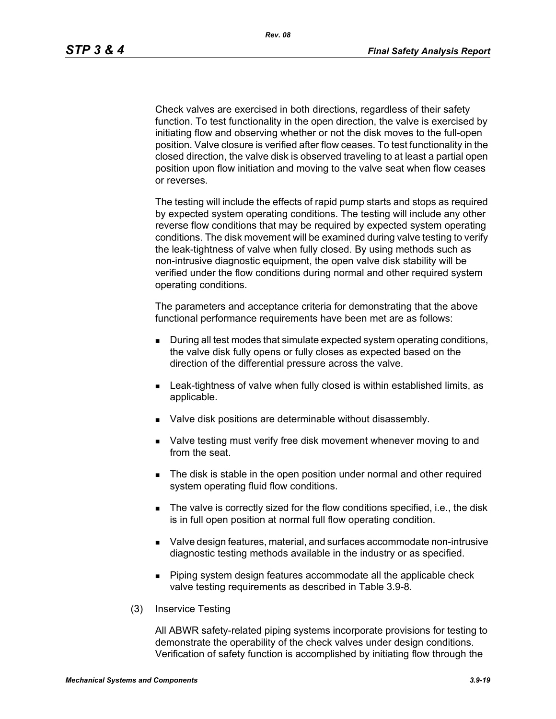Check valves are exercised in both directions, regardless of their safety function. To test functionality in the open direction, the valve is exercised by initiating flow and observing whether or not the disk moves to the full-open position. Valve closure is verified after flow ceases. To test functionality in the closed direction, the valve disk is observed traveling to at least a partial open position upon flow initiation and moving to the valve seat when flow ceases or reverses.

The testing will include the effects of rapid pump starts and stops as required by expected system operating conditions. The testing will include any other reverse flow conditions that may be required by expected system operating conditions. The disk movement will be examined during valve testing to verify the leak-tightness of valve when fully closed. By using methods such as non-intrusive diagnostic equipment, the open valve disk stability will be verified under the flow conditions during normal and other required system operating conditions.

The parameters and acceptance criteria for demonstrating that the above functional performance requirements have been met are as follows:

- During all test modes that simulate expected system operating conditions, the valve disk fully opens or fully closes as expected based on the direction of the differential pressure across the valve.
- **EXECT** Leak-tightness of valve when fully closed is within established limits, as applicable.
- **Valve disk positions are determinable without disassembly.**
- Valve testing must verify free disk movement whenever moving to and from the seat.
- The disk is stable in the open position under normal and other required system operating fluid flow conditions.
- The valve is correctly sized for the flow conditions specified, i.e., the disk is in full open position at normal full flow operating condition.
- Valve design features, material, and surfaces accommodate non-intrusive diagnostic testing methods available in the industry or as specified.
- **Piping system design features accommodate all the applicable check** valve testing requirements as described in Table 3.9-8.
- (3) Inservice Testing

All ABWR safety-related piping systems incorporate provisions for testing to demonstrate the operability of the check valves under design conditions. Verification of safety function is accomplished by initiating flow through the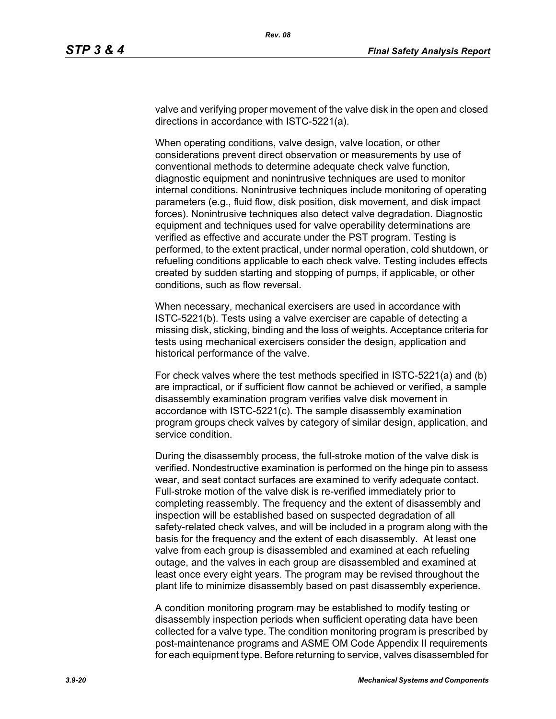valve and verifying proper movement of the valve disk in the open and closed directions in accordance with ISTC-5221(a).

When operating conditions, valve design, valve location, or other considerations prevent direct observation or measurements by use of conventional methods to determine adequate check valve function, diagnostic equipment and nonintrusive techniques are used to monitor internal conditions. Nonintrusive techniques include monitoring of operating parameters (e.g., fluid flow, disk position, disk movement, and disk impact forces). Nonintrusive techniques also detect valve degradation. Diagnostic equipment and techniques used for valve operability determinations are verified as effective and accurate under the PST program. Testing is performed, to the extent practical, under normal operation, cold shutdown, or refueling conditions applicable to each check valve. Testing includes effects created by sudden starting and stopping of pumps, if applicable, or other conditions, such as flow reversal.

When necessary, mechanical exercisers are used in accordance with ISTC-5221(b). Tests using a valve exerciser are capable of detecting a missing disk, sticking, binding and the loss of weights. Acceptance criteria for tests using mechanical exercisers consider the design, application and historical performance of the valve.

For check valves where the test methods specified in ISTC-5221(a) and (b) are impractical, or if sufficient flow cannot be achieved or verified, a sample disassembly examination program verifies valve disk movement in accordance with ISTC-5221(c). The sample disassembly examination program groups check valves by category of similar design, application, and service condition.

During the disassembly process, the full-stroke motion of the valve disk is verified. Nondestructive examination is performed on the hinge pin to assess wear, and seat contact surfaces are examined to verify adequate contact. Full-stroke motion of the valve disk is re-verified immediately prior to completing reassembly. The frequency and the extent of disassembly and inspection will be established based on suspected degradation of all safety-related check valves, and will be included in a program along with the basis for the frequency and the extent of each disassembly. At least one valve from each group is disassembled and examined at each refueling outage, and the valves in each group are disassembled and examined at least once every eight years. The program may be revised throughout the plant life to minimize disassembly based on past disassembly experience.

A condition monitoring program may be established to modify testing or disassembly inspection periods when sufficient operating data have been collected for a valve type. The condition monitoring program is prescribed by post-maintenance programs and ASME OM Code Appendix II requirements for each equipment type. Before returning to service, valves disassembled for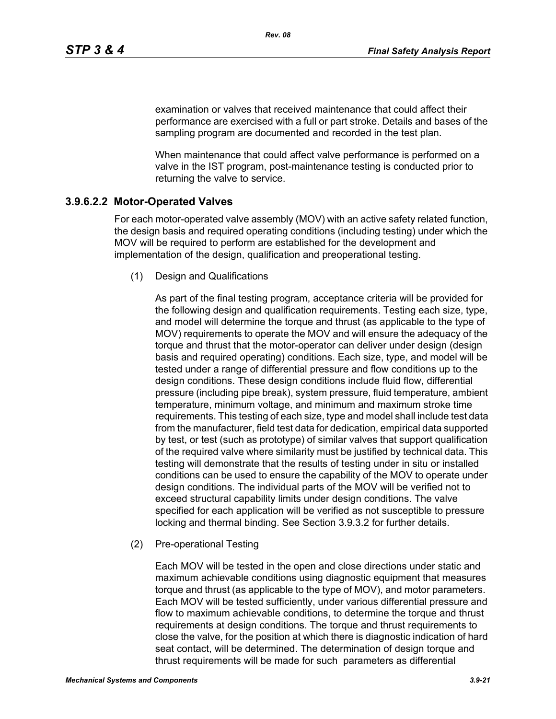examination or valves that received maintenance that could affect their performance are exercised with a full or part stroke. Details and bases of the sampling program are documented and recorded in the test plan.

When maintenance that could affect valve performance is performed on a valve in the IST program, post-maintenance testing is conducted prior to returning the valve to service.

# **3.9.6.2.2 Motor-Operated Valves**

For each motor-operated valve assembly (MOV) with an active safety related function, the design basis and required operating conditions (including testing) under which the MOV will be required to perform are established for the development and implementation of the design, qualification and preoperational testing.

(1) Design and Qualifications

As part of the final testing program, acceptance criteria will be provided for the following design and qualification requirements. Testing each size, type, and model will determine the torque and thrust (as applicable to the type of MOV) requirements to operate the MOV and will ensure the adequacy of the torque and thrust that the motor-operator can deliver under design (design basis and required operating) conditions. Each size, type, and model will be tested under a range of differential pressure and flow conditions up to the design conditions. These design conditions include fluid flow, differential pressure (including pipe break), system pressure, fluid temperature, ambient temperature, minimum voltage, and minimum and maximum stroke time requirements. This testing of each size, type and model shall include test data from the manufacturer, field test data for dedication, empirical data supported by test, or test (such as prototype) of similar valves that support qualification of the required valve where similarity must be justified by technical data. This testing will demonstrate that the results of testing under in situ or installed conditions can be used to ensure the capability of the MOV to operate under design conditions. The individual parts of the MOV will be verified not to exceed structural capability limits under design conditions. The valve specified for each application will be verified as not susceptible to pressure locking and thermal binding. See Section 3.9.3.2 for further details.

(2) Pre-operational Testing

Each MOV will be tested in the open and close directions under static and maximum achievable conditions using diagnostic equipment that measures torque and thrust (as applicable to the type of MOV), and motor parameters. Each MOV will be tested sufficiently, under various differential pressure and flow to maximum achievable conditions, to determine the torque and thrust requirements at design conditions. The torque and thrust requirements to close the valve, for the position at which there is diagnostic indication of hard seat contact, will be determined. The determination of design torque and thrust requirements will be made for such parameters as differential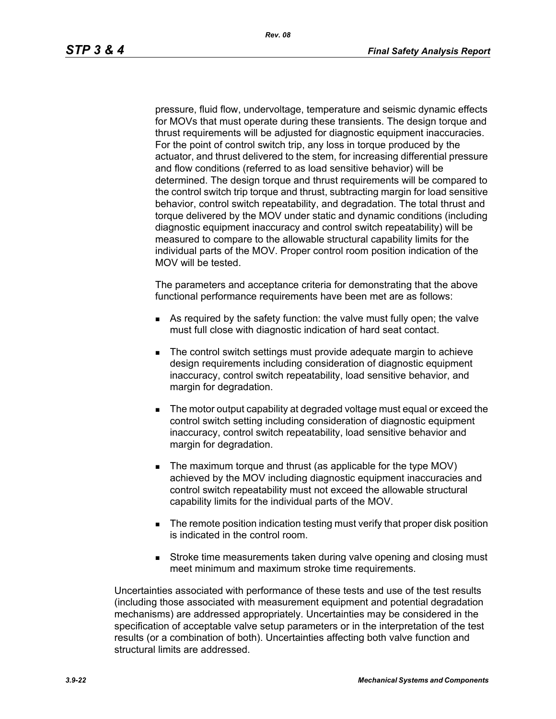pressure, fluid flow, undervoltage, temperature and seismic dynamic effects for MOVs that must operate during these transients. The design torque and thrust requirements will be adjusted for diagnostic equipment inaccuracies. For the point of control switch trip, any loss in torque produced by the actuator, and thrust delivered to the stem, for increasing differential pressure and flow conditions (referred to as load sensitive behavior) will be determined. The design torque and thrust requirements will be compared to the control switch trip torque and thrust, subtracting margin for load sensitive behavior, control switch repeatability, and degradation. The total thrust and torque delivered by the MOV under static and dynamic conditions (including diagnostic equipment inaccuracy and control switch repeatability) will be measured to compare to the allowable structural capability limits for the individual parts of the MOV. Proper control room position indication of the MOV will be tested.

The parameters and acceptance criteria for demonstrating that the above functional performance requirements have been met are as follows:

- As required by the safety function: the valve must fully open; the valve must full close with diagnostic indication of hard seat contact.
- The control switch settings must provide adequate margin to achieve design requirements including consideration of diagnostic equipment inaccuracy, control switch repeatability, load sensitive behavior, and margin for degradation.
- The motor output capability at degraded voltage must equal or exceed the control switch setting including consideration of diagnostic equipment inaccuracy, control switch repeatability, load sensitive behavior and margin for degradation.
- The maximum torque and thrust (as applicable for the type MOV) achieved by the MOV including diagnostic equipment inaccuracies and control switch repeatability must not exceed the allowable structural capability limits for the individual parts of the MOV.
- **The remote position indication testing must verify that proper disk position** is indicated in the control room.
- **Stroke time measurements taken during valve opening and closing must** meet minimum and maximum stroke time requirements.

Uncertainties associated with performance of these tests and use of the test results (including those associated with measurement equipment and potential degradation mechanisms) are addressed appropriately. Uncertainties may be considered in the specification of acceptable valve setup parameters or in the interpretation of the test results (or a combination of both). Uncertainties affecting both valve function and structural limits are addressed.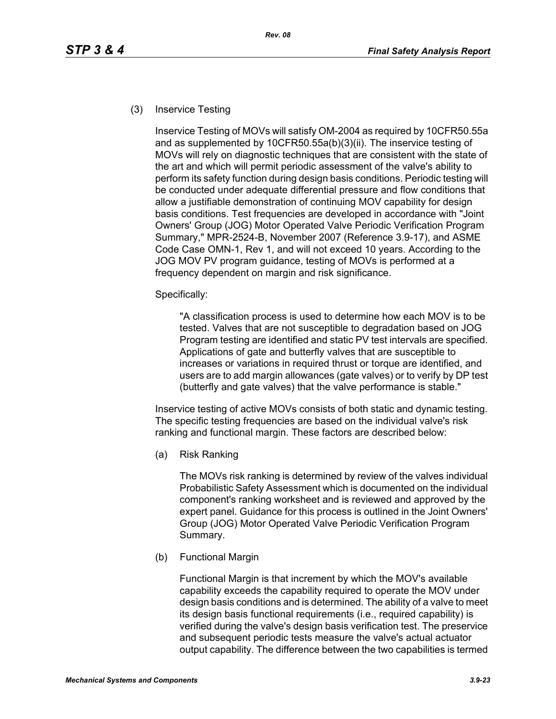#### (3) Inservice Testing

Inservice Testing of MOVs will satisfy OM-2004 as required by 10CFR50.55a and as supplemented by 10CFR50.55a(b)(3)(ii). The inservice testing of MOVs will rely on diagnostic techniques that are consistent with the state of the art and which will permit periodic assessment of the valve's ability to perform its safety function during design basis conditions. Periodic testing will be conducted under adequate differential pressure and flow conditions that allow a justifiable demonstration of continuing MOV capability for design basis conditions. Test frequencies are developed in accordance with "Joint Owners' Group (JOG) Motor Operated Valve Periodic Verification Program Summary," MPR-2524-B, November 2007 (Reference 3.9-17), and ASME Code Case OMN-1, Rev 1, and will not exceed 10 years. According to the JOG MOV PV program guidance, testing of MOVs is performed at a frequency dependent on margin and risk significance.

Specifically:

"A classification process is used to determine how each MOV is to be tested. Valves that are not susceptible to degradation based on JOG Program testing are identified and static PV test intervals are specified. Applications of gate and butterfly valves that are susceptible to increases or variations in required thrust or torque are identified, and users are to add margin allowances (gate valves) or to verify by DP test (butterfly and gate valves) that the valve performance is stable."

Inservice testing of active MOVs consists of both static and dynamic testing. The specific testing frequencies are based on the individual valve's risk ranking and functional margin. These factors are described below:

(a) Risk Ranking

The MOVs risk ranking is determined by review of the valves individual Probabilistic Safety Assessment which is documented on the individual component's ranking worksheet and is reviewed and approved by the expert panel. Guidance for this process is outlined in the Joint Owners' Group (JOG) Motor Operated Valve Periodic Verification Program Summary.

(b) Functional Margin

Functional Margin is that increment by which the MOV's available capability exceeds the capability required to operate the MOV under design basis conditions and is determined. The ability of a valve to meet its design basis functional requirements (i.e., required capability) is verified during the valve's design basis verification test. The preservice and subsequent periodic tests measure the valve's actual actuator output capability. The difference between the two capabilities is termed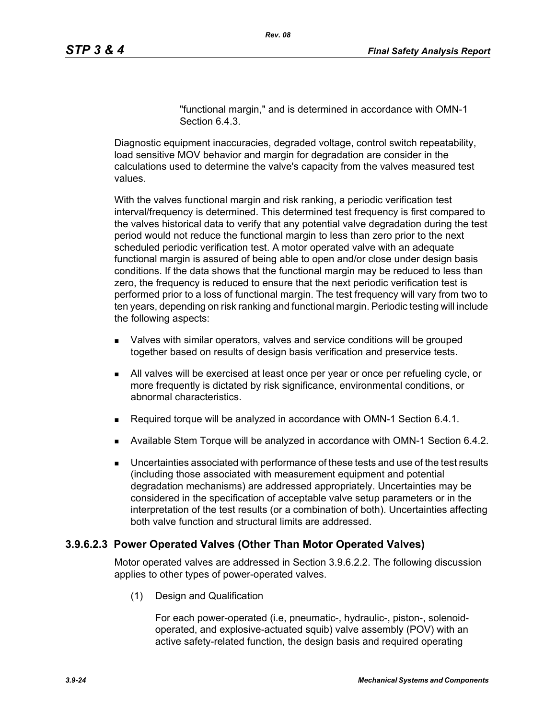"functional margin," and is determined in accordance with OMN-1 Section 6.4.3.

Diagnostic equipment inaccuracies, degraded voltage, control switch repeatability, load sensitive MOV behavior and margin for degradation are consider in the calculations used to determine the valve's capacity from the valves measured test values.

With the valves functional margin and risk ranking, a periodic verification test interval/frequency is determined. This determined test frequency is first compared to the valves historical data to verify that any potential valve degradation during the test period would not reduce the functional margin to less than zero prior to the next scheduled periodic verification test. A motor operated valve with an adequate functional margin is assured of being able to open and/or close under design basis conditions. If the data shows that the functional margin may be reduced to less than zero, the frequency is reduced to ensure that the next periodic verification test is performed prior to a loss of functional margin. The test frequency will vary from two to ten years, depending on risk ranking and functional margin. Periodic testing will include the following aspects:

- Valves with similar operators, valves and service conditions will be grouped together based on results of design basis verification and preservice tests.
- All valves will be exercised at least once per year or once per refueling cycle, or more frequently is dictated by risk significance, environmental conditions, or abnormal characteristics.
- Required torque will be analyzed in accordance with OMN-1 Section 6.4.1.
- Available Stem Torque will be analyzed in accordance with OMN-1 Section 6.4.2.
- Uncertainties associated with performance of these tests and use of the test results (including those associated with measurement equipment and potential degradation mechanisms) are addressed appropriately. Uncertainties may be considered in the specification of acceptable valve setup parameters or in the interpretation of the test results (or a combination of both). Uncertainties affecting both valve function and structural limits are addressed.

# **3.9.6.2.3 Power Operated Valves (Other Than Motor Operated Valves)**

Motor operated valves are addressed in Section 3.9.6.2.2. The following discussion applies to other types of power-operated valves.

(1) Design and Qualification

For each power-operated (i.e, pneumatic-, hydraulic-, piston-, solenoidoperated, and explosive-actuated squib) valve assembly (POV) with an active safety-related function, the design basis and required operating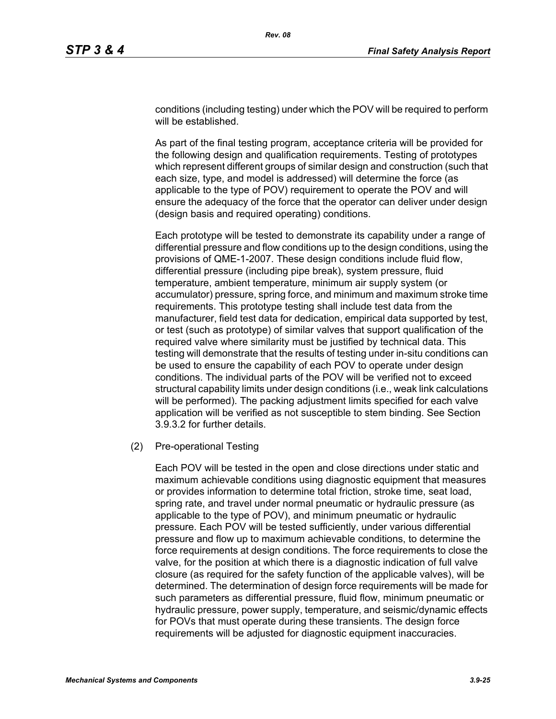conditions (including testing) under which the POV will be required to perform will be established.

As part of the final testing program, acceptance criteria will be provided for the following design and qualification requirements. Testing of prototypes which represent different groups of similar design and construction (such that each size, type, and model is addressed) will determine the force (as applicable to the type of POV) requirement to operate the POV and will ensure the adequacy of the force that the operator can deliver under design (design basis and required operating) conditions.

Each prototype will be tested to demonstrate its capability under a range of differential pressure and flow conditions up to the design conditions, using the provisions of QME-1-2007. These design conditions include fluid flow, differential pressure (including pipe break), system pressure, fluid temperature, ambient temperature, minimum air supply system (or accumulator) pressure, spring force, and minimum and maximum stroke time requirements. This prototype testing shall include test data from the manufacturer, field test data for dedication, empirical data supported by test, or test (such as prototype) of similar valves that support qualification of the required valve where similarity must be justified by technical data. This testing will demonstrate that the results of testing under in-situ conditions can be used to ensure the capability of each POV to operate under design conditions. The individual parts of the POV will be verified not to exceed structural capability limits under design conditions (i.e., weak link calculations will be performed). The packing adjustment limits specified for each valve application will be verified as not susceptible to stem binding. See Section 3.9.3.2 for further details.

#### (2) Pre-operational Testing

Each POV will be tested in the open and close directions under static and maximum achievable conditions using diagnostic equipment that measures or provides information to determine total friction, stroke time, seat load, spring rate, and travel under normal pneumatic or hydraulic pressure (as applicable to the type of POV), and minimum pneumatic or hydraulic pressure. Each POV will be tested sufficiently, under various differential pressure and flow up to maximum achievable conditions, to determine the force requirements at design conditions. The force requirements to close the valve, for the position at which there is a diagnostic indication of full valve closure (as required for the safety function of the applicable valves), will be determined. The determination of design force requirements will be made for such parameters as differential pressure, fluid flow, minimum pneumatic or hydraulic pressure, power supply, temperature, and seismic/dynamic effects for POVs that must operate during these transients. The design force requirements will be adjusted for diagnostic equipment inaccuracies.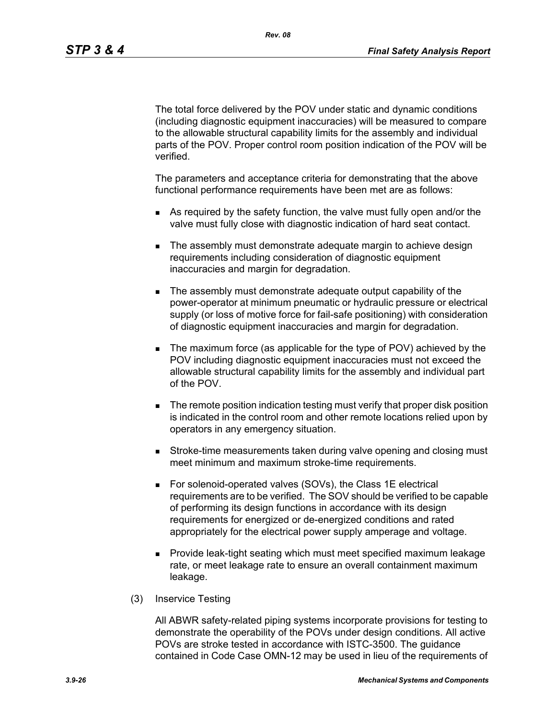The total force delivered by the POV under static and dynamic conditions (including diagnostic equipment inaccuracies) will be measured to compare to the allowable structural capability limits for the assembly and individual parts of the POV. Proper control room position indication of the POV will be verified.

The parameters and acceptance criteria for demonstrating that the above functional performance requirements have been met are as follows:

- As required by the safety function, the valve must fully open and/or the valve must fully close with diagnostic indication of hard seat contact.
- The assembly must demonstrate adequate margin to achieve design requirements including consideration of diagnostic equipment inaccuracies and margin for degradation.
- The assembly must demonstrate adequate output capability of the power-operator at minimum pneumatic or hydraulic pressure or electrical supply (or loss of motive force for fail-safe positioning) with consideration of diagnostic equipment inaccuracies and margin for degradation.
- The maximum force (as applicable for the type of POV) achieved by the POV including diagnostic equipment inaccuracies must not exceed the allowable structural capability limits for the assembly and individual part of the POV.
- **The remote position indication testing must verify that proper disk position** is indicated in the control room and other remote locations relied upon by operators in any emergency situation.
- **Stroke-time measurements taken during valve opening and closing must** meet minimum and maximum stroke-time requirements.
- For solenoid-operated valves (SOVs), the Class 1E electrical requirements are to be verified. The SOV should be verified to be capable of performing its design functions in accordance with its design requirements for energized or de-energized conditions and rated appropriately for the electrical power supply amperage and voltage.
- **Provide leak-tight seating which must meet specified maximum leakage** rate, or meet leakage rate to ensure an overall containment maximum leakage.
- (3) Inservice Testing

All ABWR safety-related piping systems incorporate provisions for testing to demonstrate the operability of the POVs under design conditions. All active POVs are stroke tested in accordance with ISTC-3500. The guidance contained in Code Case OMN-12 may be used in lieu of the requirements of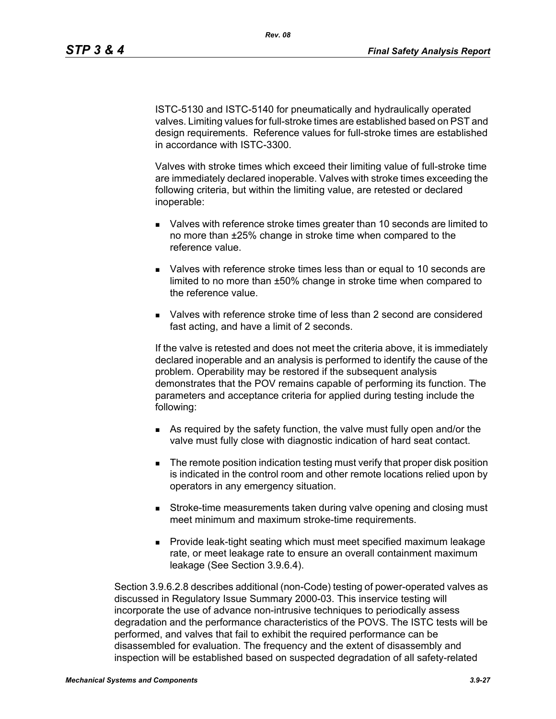ISTC-5130 and ISTC-5140 for pneumatically and hydraulically operated valves. Limiting values for full-stroke times are established based on PST and design requirements. Reference values for full-stroke times are established in accordance with ISTC-3300.

Valves with stroke times which exceed their limiting value of full-stroke time are immediately declared inoperable. Valves with stroke times exceeding the following criteria, but within the limiting value, are retested or declared inoperable:

- Valves with reference stroke times greater than 10 seconds are limited to no more than ±25% change in stroke time when compared to the reference value.
- Valves with reference stroke times less than or equal to 10 seconds are limited to no more than ±50% change in stroke time when compared to the reference value.
- Valves with reference stroke time of less than 2 second are considered fast acting, and have a limit of 2 seconds.

If the valve is retested and does not meet the criteria above, it is immediately declared inoperable and an analysis is performed to identify the cause of the problem. Operability may be restored if the subsequent analysis demonstrates that the POV remains capable of performing its function. The parameters and acceptance criteria for applied during testing include the following:

- As required by the safety function, the valve must fully open and/or the valve must fully close with diagnostic indication of hard seat contact.
- **The remote position indication testing must verify that proper disk position** is indicated in the control room and other remote locations relied upon by operators in any emergency situation.
- **Stroke-time measurements taken during valve opening and closing must** meet minimum and maximum stroke-time requirements.
- Provide leak-tight seating which must meet specified maximum leakage rate, or meet leakage rate to ensure an overall containment maximum leakage (See Section 3.9.6.4).

Section 3.9.6.2.8 describes additional (non-Code) testing of power-operated valves as discussed in Regulatory Issue Summary 2000-03. This inservice testing will incorporate the use of advance non-intrusive techniques to periodically assess degradation and the performance characteristics of the POVS. The ISTC tests will be performed, and valves that fail to exhibit the required performance can be disassembled for evaluation. The frequency and the extent of disassembly and inspection will be established based on suspected degradation of all safety-related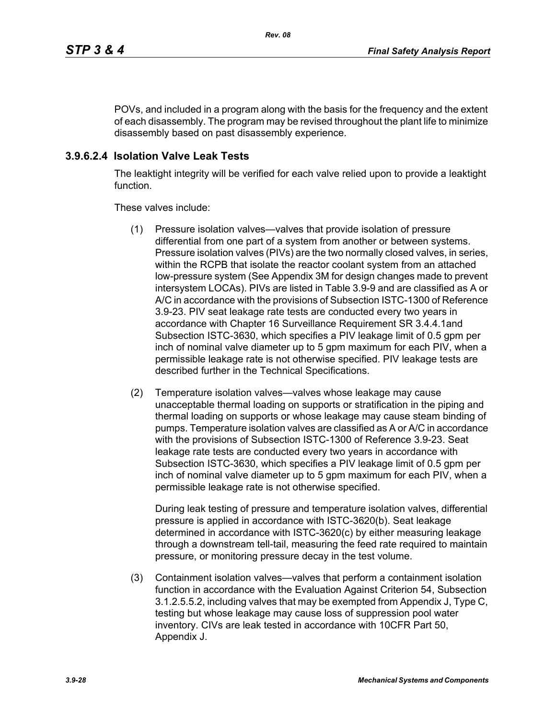POVs, and included in a program along with the basis for the frequency and the extent of each disassembly. The program may be revised throughout the plant life to minimize disassembly based on past disassembly experience.

# **3.9.6.2.4 Isolation Valve Leak Tests**

The leaktight integrity will be verified for each valve relied upon to provide a leaktight function.

These valves include:

- (1) Pressure isolation valves—valves that provide isolation of pressure differential from one part of a system from another or between systems. Pressure isolation valves (PIVs) are the two normally closed valves, in series, within the RCPB that isolate the reactor coolant system from an attached low-pressure system (See Appendix 3M for design changes made to prevent intersystem LOCAs). PIVs are listed in Table 3.9-9 and are classified as A or A/C in accordance with the provisions of Subsection ISTC-1300 of Reference 3.9-23. PIV seat leakage rate tests are conducted every two years in accordance with Chapter 16 Surveillance Requirement SR 3.4.4.1and Subsection ISTC-3630, which specifies a PIV leakage limit of 0.5 gpm per inch of nominal valve diameter up to 5 gpm maximum for each PIV, when a permissible leakage rate is not otherwise specified. PIV leakage tests are described further in the Technical Specifications.
- (2) Temperature isolation valves—valves whose leakage may cause unacceptable thermal loading on supports or stratification in the piping and thermal loading on supports or whose leakage may cause steam binding of pumps. Temperature isolation valves are classified as A or A/C in accordance with the provisions of Subsection ISTC-1300 of Reference 3.9-23. Seat leakage rate tests are conducted every two years in accordance with Subsection ISTC-3630, which specifies a PIV leakage limit of 0.5 gpm per inch of nominal valve diameter up to 5 gpm maximum for each PIV, when a permissible leakage rate is not otherwise specified.

During leak testing of pressure and temperature isolation valves, differential pressure is applied in accordance with ISTC-3620(b). Seat leakage determined in accordance with ISTC-3620(c) by either measuring leakage through a downstream tell-tail, measuring the feed rate required to maintain pressure, or monitoring pressure decay in the test volume.

(3) Containment isolation valves—valves that perform a containment isolation function in accordance with the Evaluation Against Criterion 54, Subsection 3.1.2.5.5.2, including valves that may be exempted from Appendix J, Type C, testing but whose leakage may cause loss of suppression pool water inventory. CIVs are leak tested in accordance with 10CFR Part 50, Appendix J.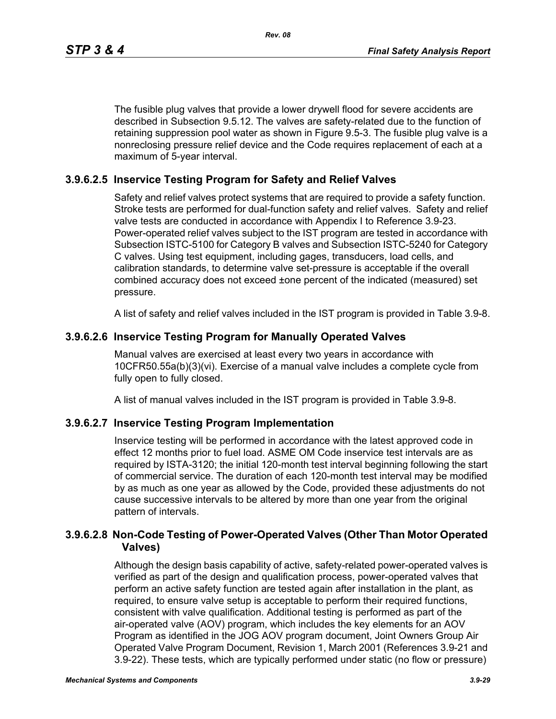The fusible plug valves that provide a lower drywell flood for severe accidents are described in Subsection 9.5.12. The valves are safety-related due to the function of retaining suppression pool water as shown in Figure 9.5-3. The fusible plug valve is a nonreclosing pressure relief device and the Code requires replacement of each at a maximum of 5-year interval.

#### **3.9.6.2.5 Inservice Testing Program for Safety and Relief Valves**

Safety and relief valves protect systems that are required to provide a safety function. Stroke tests are performed for dual-function safety and relief valves. Safety and relief valve tests are conducted in accordance with Appendix I to Reference 3.9-23. Power-operated relief valves subject to the IST program are tested in accordance with Subsection ISTC-5100 for Category B valves and Subsection ISTC-5240 for Category C valves. Using test equipment, including gages, transducers, load cells, and calibration standards, to determine valve set-pressure is acceptable if the overall combined accuracy does not exceed ±one percent of the indicated (measured) set pressure.

A list of safety and relief valves included in the IST program is provided in Table 3.9-8.

#### **3.9.6.2.6 Inservice Testing Program for Manually Operated Valves**

Manual valves are exercised at least every two years in accordance with 10CFR50.55a(b)(3)(vi). Exercise of a manual valve includes a complete cycle from fully open to fully closed.

A list of manual valves included in the IST program is provided in Table 3.9-8.

#### **3.9.6.2.7 Inservice Testing Program Implementation**

Inservice testing will be performed in accordance with the latest approved code in effect 12 months prior to fuel load. ASME OM Code inservice test intervals are as required by ISTA-3120; the initial 120-month test interval beginning following the start of commercial service. The duration of each 120-month test interval may be modified by as much as one year as allowed by the Code, provided these adjustments do not cause successive intervals to be altered by more than one year from the original pattern of intervals.

#### **3.9.6.2.8 Non-Code Testing of Power-Operated Valves (Other Than Motor Operated Valves)**

Although the design basis capability of active, safety-related power-operated valves is verified as part of the design and qualification process, power-operated valves that perform an active safety function are tested again after installation in the plant, as required, to ensure valve setup is acceptable to perform their required functions, consistent with valve qualification. Additional testing is performed as part of the air-operated valve (AOV) program, which includes the key elements for an AOV Program as identified in the JOG AOV program document, Joint Owners Group Air Operated Valve Program Document, Revision 1, March 2001 (References 3.9-21 and 3.9-22). These tests, which are typically performed under static (no flow or pressure)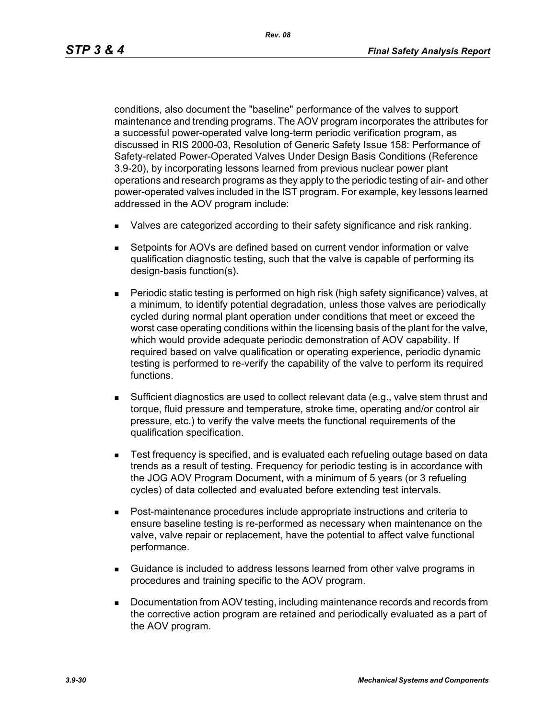conditions, also document the "baseline" performance of the valves to support maintenance and trending programs. The AOV program incorporates the attributes for a successful power-operated valve long-term periodic verification program, as discussed in RIS 2000-03, Resolution of Generic Safety Issue 158: Performance of Safety-related Power-Operated Valves Under Design Basis Conditions (Reference 3.9-20), by incorporating lessons learned from previous nuclear power plant operations and research programs as they apply to the periodic testing of air- and other power-operated valves included in the IST program. For example, key lessons learned addressed in the AOV program include:

- Valves are categorized according to their safety significance and risk ranking.
- Setpoints for AOVs are defined based on current vendor information or valve qualification diagnostic testing, such that the valve is capable of performing its design-basis function(s).
- Periodic static testing is performed on high risk (high safety significance) valves, at a minimum, to identify potential degradation, unless those valves are periodically cycled during normal plant operation under conditions that meet or exceed the worst case operating conditions within the licensing basis of the plant for the valve, which would provide adequate periodic demonstration of AOV capability. If required based on valve qualification or operating experience, periodic dynamic testing is performed to re-verify the capability of the valve to perform its required functions.
- Sufficient diagnostics are used to collect relevant data (e.g., valve stem thrust and torque, fluid pressure and temperature, stroke time, operating and/or control air pressure, etc.) to verify the valve meets the functional requirements of the qualification specification.
- Test frequency is specified, and is evaluated each refueling outage based on data trends as a result of testing. Frequency for periodic testing is in accordance with the JOG AOV Program Document, with a minimum of 5 years (or 3 refueling cycles) of data collected and evaluated before extending test intervals.
- Post-maintenance procedures include appropriate instructions and criteria to ensure baseline testing is re-performed as necessary when maintenance on the valve, valve repair or replacement, have the potential to affect valve functional performance.
- Guidance is included to address lessons learned from other valve programs in procedures and training specific to the AOV program.
- **Documentation from AOV testing, including maintenance records and records from** the corrective action program are retained and periodically evaluated as a part of the AOV program.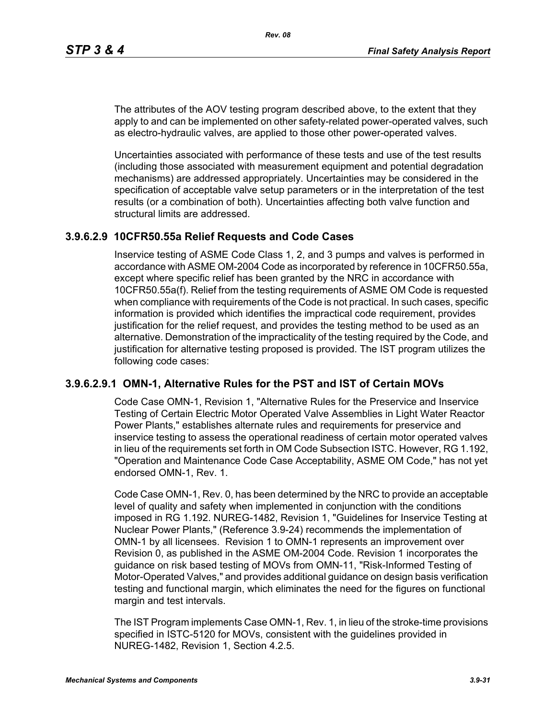The attributes of the AOV testing program described above, to the extent that they apply to and can be implemented on other safety-related power-operated valves, such as electro-hydraulic valves, are applied to those other power-operated valves.

Uncertainties associated with performance of these tests and use of the test results (including those associated with measurement equipment and potential degradation mechanisms) are addressed appropriately. Uncertainties may be considered in the specification of acceptable valve setup parameters or in the interpretation of the test results (or a combination of both). Uncertainties affecting both valve function and structural limits are addressed.

#### **3.9.6.2.9 10CFR50.55a Relief Requests and Code Cases**

Inservice testing of ASME Code Class 1, 2, and 3 pumps and valves is performed in accordance with ASME OM-2004 Code as incorporated by reference in 10CFR50.55a, except where specific relief has been granted by the NRC in accordance with 10CFR50.55a(f). Relief from the testing requirements of ASME OM Code is requested when compliance with requirements of the Code is not practical. In such cases, specific information is provided which identifies the impractical code requirement, provides justification for the relief request, and provides the testing method to be used as an alternative. Demonstration of the impracticality of the testing required by the Code, and justification for alternative testing proposed is provided. The IST program utilizes the following code cases:

# **3.9.6.2.9.1 OMN-1, Alternative Rules for the PST and IST of Certain MOVs**

Code Case OMN-1, Revision 1, "Alternative Rules for the Preservice and Inservice Testing of Certain Electric Motor Operated Valve Assemblies in Light Water Reactor Power Plants," establishes alternate rules and requirements for preservice and inservice testing to assess the operational readiness of certain motor operated valves in lieu of the requirements set forth in OM Code Subsection ISTC. However, RG 1.192, "Operation and Maintenance Code Case Acceptability, ASME OM Code," has not yet endorsed OMN-1, Rev. 1.

Code Case OMN-1, Rev. 0, has been determined by the NRC to provide an acceptable level of quality and safety when implemented in conjunction with the conditions imposed in RG 1.192. NUREG-1482, Revision 1, "Guidelines for Inservice Testing at Nuclear Power Plants," (Reference 3.9-24) recommends the implementation of OMN-1 by all licensees. Revision 1 to OMN-1 represents an improvement over Revision 0, as published in the ASME OM-2004 Code. Revision 1 incorporates the guidance on risk based testing of MOVs from OMN-11, "Risk-Informed Testing of Motor-Operated Valves," and provides additional guidance on design basis verification testing and functional margin, which eliminates the need for the figures on functional margin and test intervals.

The IST Program implements Case OMN-1, Rev. 1, in lieu of the stroke-time provisions specified in ISTC-5120 for MOVs, consistent with the guidelines provided in NUREG-1482, Revision 1, Section 4.2.5.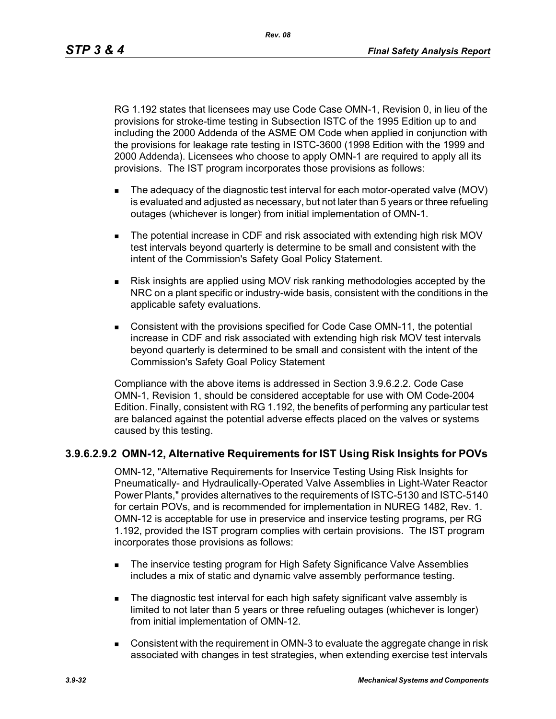*Rev. 08*

RG 1.192 states that licensees may use Code Case OMN-1, Revision 0, in lieu of the provisions for stroke-time testing in Subsection ISTC of the 1995 Edition up to and including the 2000 Addenda of the ASME OM Code when applied in conjunction with the provisions for leakage rate testing in ISTC-3600 (1998 Edition with the 1999 and 2000 Addenda). Licensees who choose to apply OMN-1 are required to apply all its provisions. The IST program incorporates those provisions as follows:

- The adequacy of the diagnostic test interval for each motor-operated valve (MOV) is evaluated and adjusted as necessary, but not later than 5 years or three refueling outages (whichever is longer) from initial implementation of OMN-1.
- The potential increase in CDF and risk associated with extending high risk MOV test intervals beyond quarterly is determine to be small and consistent with the intent of the Commission's Safety Goal Policy Statement.
- Risk insights are applied using MOV risk ranking methodologies accepted by the NRC on a plant specific or industry-wide basis, consistent with the conditions in the applicable safety evaluations.
- Consistent with the provisions specified for Code Case OMN-11, the potential increase in CDF and risk associated with extending high risk MOV test intervals beyond quarterly is determined to be small and consistent with the intent of the Commission's Safety Goal Policy Statement

Compliance with the above items is addressed in Section 3.9.6.2.2. Code Case OMN-1, Revision 1, should be considered acceptable for use with OM Code-2004 Edition. Finally, consistent with RG 1.192, the benefits of performing any particular test are balanced against the potential adverse effects placed on the valves or systems caused by this testing.

# **3.9.6.2.9.2 OMN-12, Alternative Requirements for IST Using Risk Insights for POVs**

OMN-12, "Alternative Requirements for Inservice Testing Using Risk Insights for Pneumatically- and Hydraulically-Operated Valve Assemblies in Light-Water Reactor Power Plants," provides alternatives to the requirements of ISTC-5130 and ISTC-5140 for certain POVs, and is recommended for implementation in NUREG 1482, Rev. 1. OMN-12 is acceptable for use in preservice and inservice testing programs, per RG 1.192, provided the IST program complies with certain provisions. The IST program incorporates those provisions as follows:

- **The inservice testing program for High Safety Significance Valve Assemblies** includes a mix of static and dynamic valve assembly performance testing.
- The diagnostic test interval for each high safety significant valve assembly is limited to not later than 5 years or three refueling outages (whichever is longer) from initial implementation of OMN-12.
- **Consistent with the requirement in OMN-3 to evaluate the aggregate change in risk** associated with changes in test strategies, when extending exercise test intervals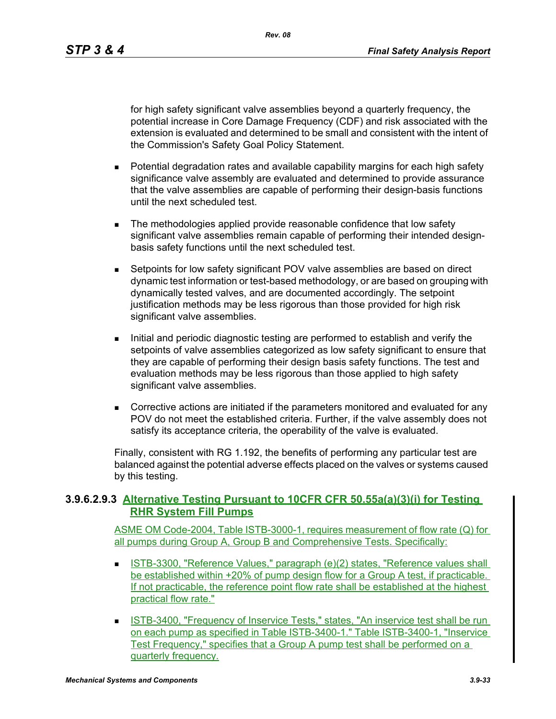*Rev. 08*

for high safety significant valve assemblies beyond a quarterly frequency, the potential increase in Core Damage Frequency (CDF) and risk associated with the extension is evaluated and determined to be small and consistent with the intent of the Commission's Safety Goal Policy Statement.

- **Potential degradation rates and available capability margins for each high safety** significance valve assembly are evaluated and determined to provide assurance that the valve assemblies are capable of performing their design-basis functions until the next scheduled test.
- The methodologies applied provide reasonable confidence that low safety significant valve assemblies remain capable of performing their intended designbasis safety functions until the next scheduled test.
- **Setpoints for low safety significant POV valve assemblies are based on direct** dynamic test information or test-based methodology, or are based on grouping with dynamically tested valves, and are documented accordingly. The setpoint justification methods may be less rigorous than those provided for high risk significant valve assemblies.
- Initial and periodic diagnostic testing are performed to establish and verify the setpoints of valve assemblies categorized as low safety significant to ensure that they are capable of performing their design basis safety functions. The test and evaluation methods may be less rigorous than those applied to high safety significant valve assemblies.
- Corrective actions are initiated if the parameters monitored and evaluated for any POV do not meet the established criteria. Further, if the valve assembly does not satisfy its acceptance criteria, the operability of the valve is evaluated.

Finally, consistent with RG 1.192, the benefits of performing any particular test are balanced against the potential adverse effects placed on the valves or systems caused by this testing.

# **3.9.6.2.9.3 Alternative Testing Pursuant to 10CFR CFR 50.55a(a)(3)(i) for Testing RHR System Fill Pumps**

ASME OM Code-2004, Table ISTB-3000-1, requires measurement of flow rate (Q) for all pumps during Group A, Group B and Comprehensive Tests. Specifically:

- ISTB-3300, "Reference Values," paragraph (e)(2) states, "Reference values shall be established within +20% of pump design flow for a Group A test, if practicable. If not practicable, the reference point flow rate shall be established at the highest practical flow rate."
- **ISTB-3400, "Frequency of Inservice Tests," states, "An inservice test shall be run** on each pump as specified in Table ISTB-3400-1." Table ISTB-3400-1, "Inservice Test Frequency," specifies that a Group A pump test shall be performed on a quarterly frequency.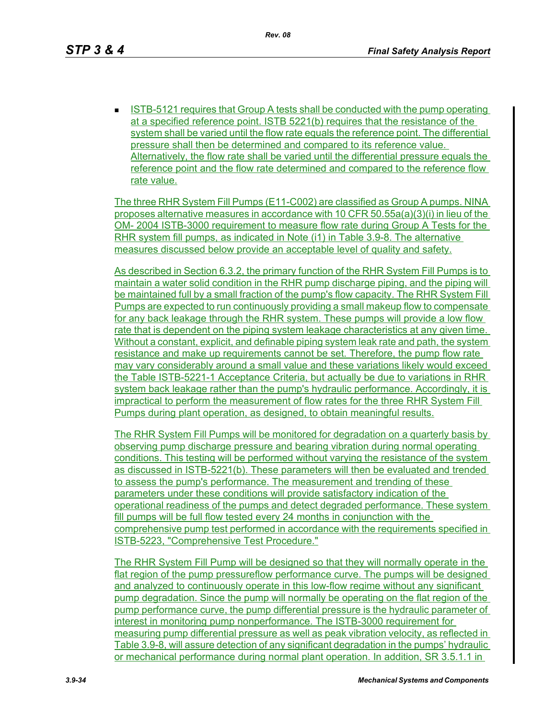ISTB-5121 requires that Group A tests shall be conducted with the pump operating at a specified reference point. ISTB 5221(b) requires that the resistance of the system shall be varied until the flow rate equals the reference point. The differential pressure shall then be determined and compared to its reference value. Alternatively, the flow rate shall be varied until the differential pressure equals the reference point and the flow rate determined and compared to the reference flow rate value.

The three RHR System Fill Pumps (E11-C002) are classified as Group A pumps. NINA proposes alternative measures in accordance with 10 CFR  $50.55a(a)(3)(i)$  in lieu of the OM- 2004 ISTB-3000 requirement to measure flow rate during Group A Tests for the RHR system fill pumps, as indicated in Note (i1) in Table 3.9-8. The alternative measures discussed below provide an acceptable level of quality and safety.

As described in Section 6.3.2, the primary function of the RHR System Fill Pumps is to maintain a water solid condition in the RHR pump discharge piping, and the piping will be maintained full by a small fraction of the pump's flow capacity. The RHR System Fill Pumps are expected to run continuously providing a small makeup flow to compensate for any back leakage through the RHR system. These pumps will provide a low flow rate that is dependent on the piping system leakage characteristics at any given time. Without a constant, explicit, and definable piping system leak rate and path, the system resistance and make up requirements cannot be set. Therefore, the pump flow rate may vary considerably around a small value and these variations likely would exceed the Table ISTB-5221-1 Acceptance Criteria, but actually be due to variations in RHR system back leakage rather than the pump's hydraulic performance. Accordingly, it is impractical to perform the measurement of flow rates for the three RHR System Fill Pumps during plant operation, as designed, to obtain meaningful results.

The RHR System Fill Pumps will be monitored for degradation on a quarterly basis by observing pump discharge pressure and bearing vibration during normal operating conditions. This testing will be performed without varying the resistance of the system as discussed in ISTB-5221(b). These parameters will then be evaluated and trended to assess the pump's performance. The measurement and trending of these parameters under these conditions will provide satisfactory indication of the operational readiness of the pumps and detect degraded performance. These system fill pumps will be full flow tested every 24 months in conjunction with the comprehensive pump test performed in accordance with the requirements specified in ISTB-5223, "Comprehensive Test Procedure."

The RHR System Fill Pump will be designed so that they will normally operate in the flat region of the pump pressureflow performance curve. The pumps will be designed and analyzed to continuously operate in this low-flow regime without any significant pump degradation. Since the pump will normally be operating on the flat region of the pump performance curve, the pump differential pressure is the hydraulic parameter of interest in monitoring pump nonperformance. The ISTB-3000 requirement for measuring pump differential pressure as well as peak vibration velocity, as reflected in Table 3.9-8, will assure detection of any significant degradation in the pumps' hydraulic or mechanical performance during normal plant operation. In addition, SR 3.5.1.1 in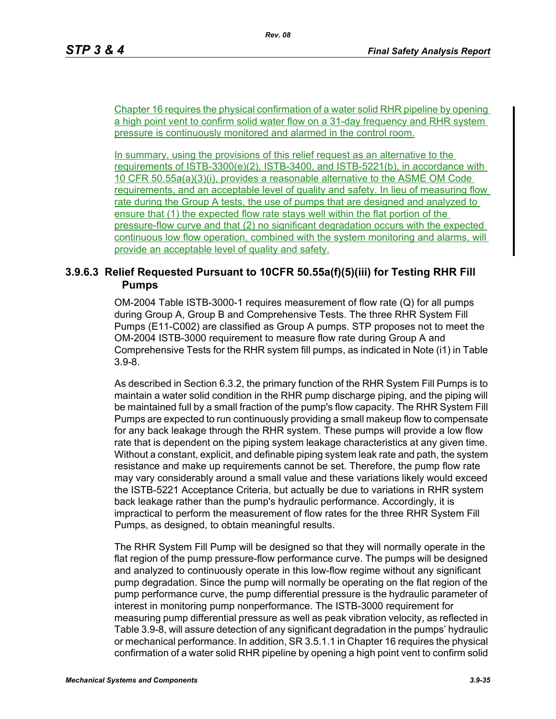Chapter 16 requires the physical confirmation of a water solid RHR pipeline by opening a high point vent to confirm solid water flow on a 31-day frequency and RHR system pressure is continuously monitored and alarmed in the control room.

In summary, using the provisions of this relief request as an alternative to the requirements of ISTB-3300(e)(2), ISTB-3400, and ISTB-5221(b), in accordance with 10 CFR 50.55a(a)(3)(i), provides a reasonable alternative to the ASME OM Code requirements, and an acceptable level of quality and safety. In lieu of measuring flow rate during the Group A tests, the use of pumps that are designed and analyzed to ensure that (1) the expected flow rate stays well within the flat portion of the pressure-flow curve and that (2) no significant degradation occurs with the expected continuous low flow operation, combined with the system monitoring and alarms, will provide an acceptable level of quality and safety.

# **3.9.6.3 Relief Requested Pursuant to 10CFR 50.55a(f)(5)(iii) for Testing RHR Fill Pumps**

OM-2004 Table ISTB-3000-1 requires measurement of flow rate (Q) for all pumps during Group A, Group B and Comprehensive Tests. The three RHR System Fill Pumps (E11-C002) are classified as Group A pumps. STP proposes not to meet the OM-2004 ISTB-3000 requirement to measure flow rate during Group A and Comprehensive Tests for the RHR system fill pumps, as indicated in Note (i1) in Table 3.9-8.

As described in Section 6.3.2, the primary function of the RHR System Fill Pumps is to maintain a water solid condition in the RHR pump discharge piping, and the piping will be maintained full by a small fraction of the pump's flow capacity. The RHR System Fill Pumps are expected to run continuously providing a small makeup flow to compensate for any back leakage through the RHR system. These pumps will provide a low flow rate that is dependent on the piping system leakage characteristics at any given time. Without a constant, explicit, and definable piping system leak rate and path, the system resistance and make up requirements cannot be set. Therefore, the pump flow rate may vary considerably around a small value and these variations likely would exceed the ISTB-5221 Acceptance Criteria, but actually be due to variations in RHR system back leakage rather than the pump's hydraulic performance. Accordingly, it is impractical to perform the measurement of flow rates for the three RHR System Fill Pumps, as designed, to obtain meaningful results.

The RHR System Fill Pump will be designed so that they will normally operate in the flat region of the pump pressure-flow performance curve. The pumps will be designed and analyzed to continuously operate in this low-flow regime without any significant pump degradation. Since the pump will normally be operating on the flat region of the pump performance curve, the pump differential pressure is the hydraulic parameter of interest in monitoring pump nonperformance. The ISTB-3000 requirement for measuring pump differential pressure as well as peak vibration velocity, as reflected in Table 3.9-8, will assure detection of any significant degradation in the pumps' hydraulic or mechanical performance. In addition, SR 3.5.1.1 in Chapter 16 requires the physical confirmation of a water solid RHR pipeline by opening a high point vent to confirm solid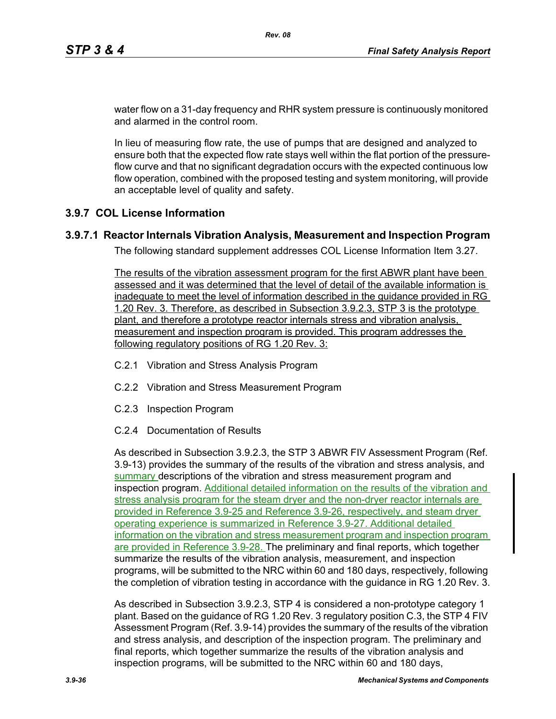water flow on a 31-day frequency and RHR system pressure is continuously monitored and alarmed in the control room.

In lieu of measuring flow rate, the use of pumps that are designed and analyzed to ensure both that the expected flow rate stays well within the flat portion of the pressureflow curve and that no significant degradation occurs with the expected continuous low flow operation, combined with the proposed testing and system monitoring, will provide an acceptable level of quality and safety.

# **3.9.7 COL License Information**

# **3.9.7.1 Reactor Internals Vibration Analysis, Measurement and Inspection Program**

The following standard supplement addresses COL License Information Item 3.27.

The results of the vibration assessment program for the first ABWR plant have been assessed and it was determined that the level of detail of the available information is inadequate to meet the level of information described in the guidance provided in RG 1.20 Rev. 3. Therefore, as described in Subsection 3.9.2.3, STP 3 is the prototype plant, and therefore a prototype reactor internals stress and vibration analysis, measurement and inspection program is provided. This program addresses the following regulatory positions of RG 1.20 Rev. 3:

- C.2.1 Vibration and Stress Analysis Program
- C.2.2 Vibration and Stress Measurement Program
- C.2.3 Inspection Program
- C.2.4 Documentation of Results

As described in Subsection 3.9.2.3, the STP 3 ABWR FIV Assessment Program (Ref. 3.9-13) provides the summary of the results of the vibration and stress analysis, and summary descriptions of the vibration and stress measurement program and inspection program. Additional detailed information on the results of the vibration and stress analysis program for the steam dryer and the non-dryer reactor internals are provided in Reference 3.9-25 and Reference 3.9-26, respectively, and steam dryer operating experience is summarized in Reference 3.9-27. Additional detailed information on the vibration and stress measurement program and inspection program are provided in Reference 3.9-28. The preliminary and final reports, which together summarize the results of the vibration analysis, measurement, and inspection programs, will be submitted to the NRC within 60 and 180 days, respectively, following the completion of vibration testing in accordance with the guidance in RG 1.20 Rev. 3.

As described in Subsection 3.9.2.3, STP 4 is considered a non-prototype category 1 plant. Based on the guidance of RG 1.20 Rev. 3 regulatory position C.3, the STP 4 FIV Assessment Program (Ref. 3.9-14) provides the summary of the results of the vibration and stress analysis, and description of the inspection program. The preliminary and final reports, which together summarize the results of the vibration analysis and inspection programs, will be submitted to the NRC within 60 and 180 days,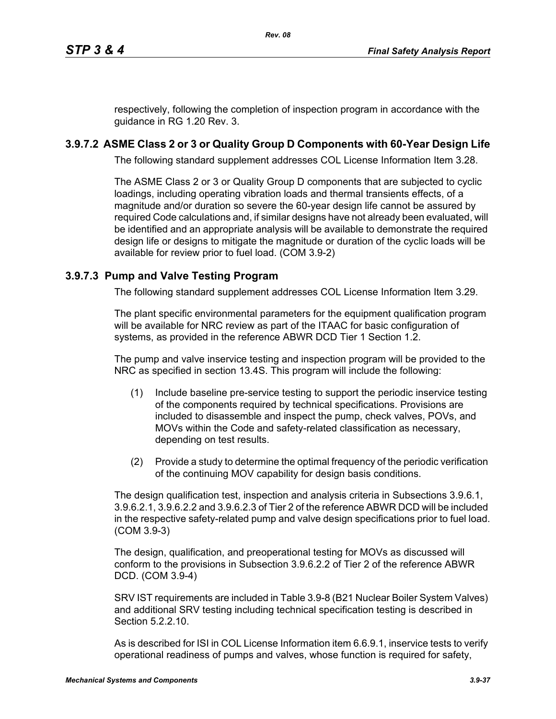respectively, following the completion of inspection program in accordance with the guidance in RG 1.20 Rev. 3.

# **3.9.7.2 ASME Class 2 or 3 or Quality Group D Components with 60-Year Design Life**

The following standard supplement addresses COL License Information Item 3.28.

The ASME Class 2 or 3 or Quality Group D components that are subjected to cyclic loadings, including operating vibration loads and thermal transients effects, of a magnitude and/or duration so severe the 60-year design life cannot be assured by required Code calculations and, if similar designs have not already been evaluated, will be identified and an appropriate analysis will be available to demonstrate the required design life or designs to mitigate the magnitude or duration of the cyclic loads will be available for review prior to fuel load. (COM 3.9-2)

# **3.9.7.3 Pump and Valve Testing Program**

The following standard supplement addresses COL License Information Item 3.29.

The plant specific environmental parameters for the equipment qualification program will be available for NRC review as part of the ITAAC for basic configuration of systems, as provided in the reference ABWR DCD Tier 1 Section 1.2.

The pump and valve inservice testing and inspection program will be provided to the NRC as specified in section 13.4S. This program will include the following:

- (1) Include baseline pre-service testing to support the periodic inservice testing of the components required by technical specifications. Provisions are included to disassemble and inspect the pump, check valves, POVs, and MOVs within the Code and safety-related classification as necessary, depending on test results.
- (2) Provide a study to determine the optimal frequency of the periodic verification of the continuing MOV capability for design basis conditions.

The design qualification test, inspection and analysis criteria in Subsections 3.9.6.1, 3.9.6.2.1, 3.9.6.2.2 and 3.9.6.2.3 of Tier 2 of the reference ABWR DCD will be included in the respective safety-related pump and valve design specifications prior to fuel load. (COM 3.9-3)

The design, qualification, and preoperational testing for MOVs as discussed will conform to the provisions in Subsection 3.9.6.2.2 of Tier 2 of the reference ABWR DCD. (COM 3.9-4)

SRV IST requirements are included in Table 3.9-8 (B21 Nuclear Boiler System Valves) and additional SRV testing including technical specification testing is described in Section 5.2.2.10.

As is described for ISI in COL License Information item 6.6.9.1, inservice tests to verify operational readiness of pumps and valves, whose function is required for safety,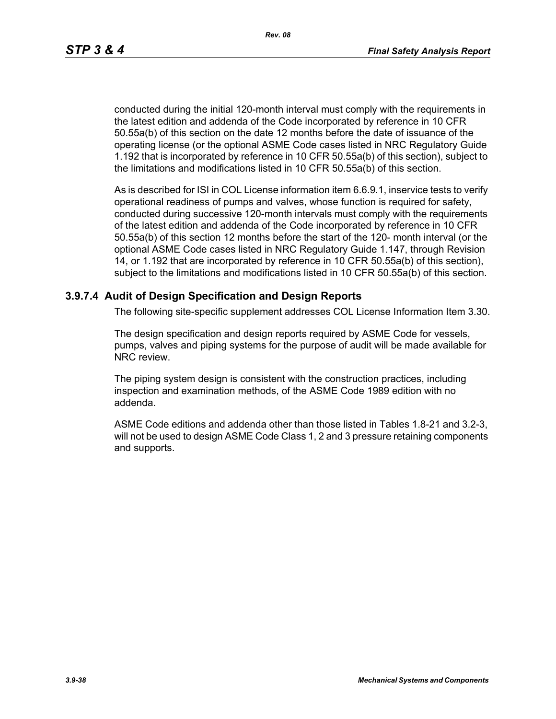*Rev. 08*

conducted during the initial 120-month interval must comply with the requirements in the latest edition and addenda of the Code incorporated by reference in 10 CFR 50.55a(b) of this section on the date 12 months before the date of issuance of the operating license (or the optional ASME Code cases listed in NRC Regulatory Guide 1.192 that is incorporated by reference in 10 CFR 50.55a(b) of this section), subject to the limitations and modifications listed in 10 CFR 50.55a(b) of this section.

As is described for ISI in COL License information item 6.6.9.1, inservice tests to verify operational readiness of pumps and valves, whose function is required for safety, conducted during successive 120-month intervals must comply with the requirements of the latest edition and addenda of the Code incorporated by reference in 10 CFR 50.55a(b) of this section 12 months before the start of the 120- month interval (or the optional ASME Code cases listed in NRC Regulatory Guide 1.147, through Revision 14, or 1.192 that are incorporated by reference in 10 CFR 50.55a(b) of this section), subject to the limitations and modifications listed in 10 CFR 50.55a(b) of this section.

#### **3.9.7.4 Audit of Design Specification and Design Reports**

The following site-specific supplement addresses COL License Information Item 3.30.

The design specification and design reports required by ASME Code for vessels, pumps, valves and piping systems for the purpose of audit will be made available for NRC review.

The piping system design is consistent with the construction practices, including inspection and examination methods, of the ASME Code 1989 edition with no addenda.

ASME Code editions and addenda other than those listed in Tables 1.8-21 and 3.2-3, will not be used to design ASME Code Class 1, 2 and 3 pressure retaining components and supports.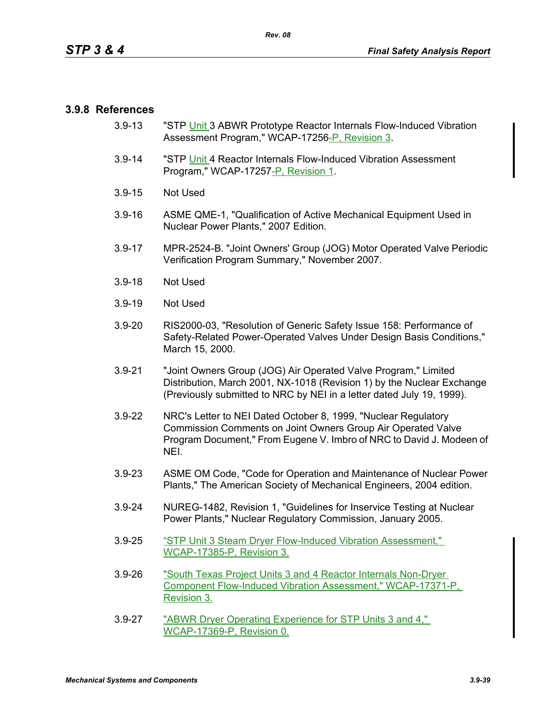#### **3.9.8 References**

- 3.9-13 "STP Unit 3 ABWR Prototype Reactor Internals Flow-Induced Vibration Assessment Program," WCAP-17256-P, Revision 3.
- 3.9-14 "STP Unit 4 Reactor Internals Flow-Induced Vibration Assessment Program," WCAP-17257-P, Revision 1.
- 3.9-15 Not Used
- 3.9-16 ASME QME-1, "Qualification of Active Mechanical Equipment Used in Nuclear Power Plants," 2007 Edition.
- 3.9-17 MPR-2524-B. "Joint Owners' Group (JOG) Motor Operated Valve Periodic Verification Program Summary," November 2007.
- 3.9-18 Not Used
- 3.9-19 Not Used
- 3.9-20 RIS2000-03, "Resolution of Generic Safety Issue 158: Performance of Safety-Related Power-Operated Valves Under Design Basis Conditions," March 15, 2000.
- 3.9-21 "Joint Owners Group (JOG) Air Operated Valve Program," Limited Distribution, March 2001, NX-1018 (Revision 1) by the Nuclear Exchange (Previously submitted to NRC by NEI in a letter dated July 19, 1999).
- 3.9-22 NRC's Letter to NEI Dated October 8, 1999, "Nuclear Regulatory Commission Comments on Joint Owners Group Air Operated Valve Program Document," From Eugene V. Imbro of NRC to David J. Modeen of NEI.
- 3.9-23 ASME OM Code, "Code for Operation and Maintenance of Nuclear Power Plants," The American Society of Mechanical Engineers, 2004 edition.
- 3.9-24 NUREG-1482, Revision 1, "Guidelines for Inservice Testing at Nuclear Power Plants," Nuclear Regulatory Commission, January 2005.
- 3.9-25 "STP Unit 3 Steam Dryer Flow-Induced Vibration Assessment," WCAP-17385-P, Revision 3.
- 3.9-26 "South Texas Project Units 3 and 4 Reactor Internals Non-Dryer Component Flow-Induced Vibration Assessment," WCAP-17371-P, Revision 3.
- 3.9-27 "ABWR Dryer Operating Experience for STP Units 3 and 4," WCAP-17369-P, Revision 0.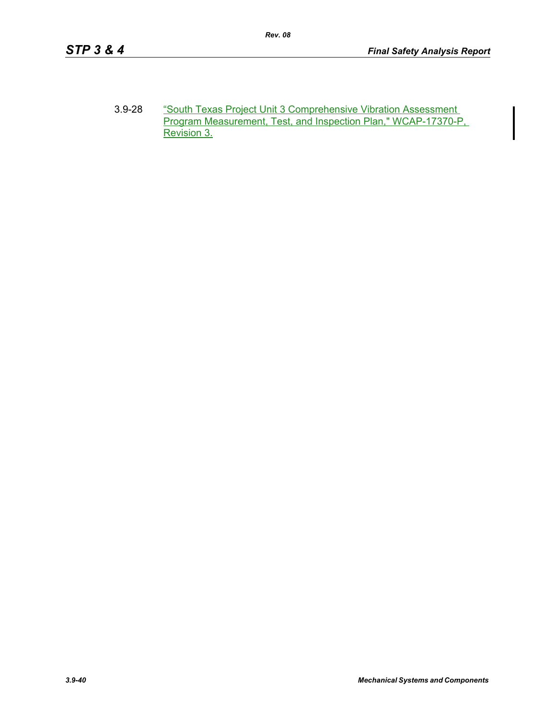3.9-28 "South Texas Project Unit 3 Comprehensive Vibration Assessment Program Measurement, Test, and Inspection Plan," WCAP-17370-P, Revision 3.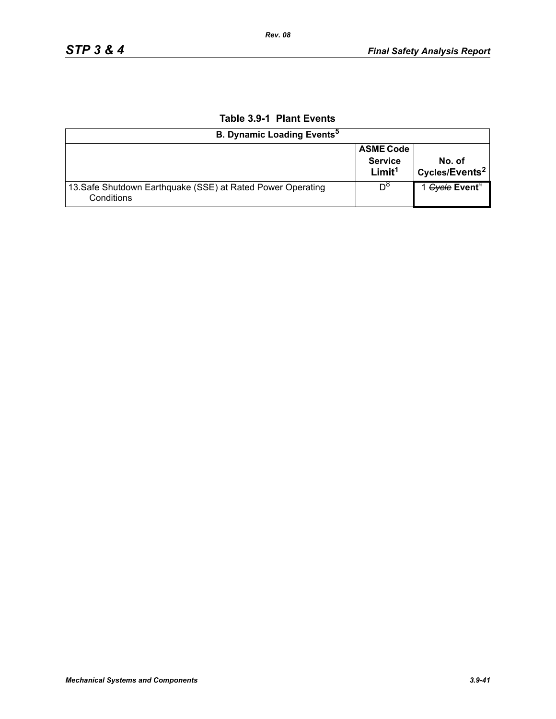| <b>B. Dynamic Loading Events<sup>5</sup></b>                              |                                                          |                                      |  |  |  |
|---------------------------------------------------------------------------|----------------------------------------------------------|--------------------------------------|--|--|--|
|                                                                           | <b>ASME Code</b><br><b>Service</b><br>Limit <sup>1</sup> | No. of<br>Cycles/Events <sup>2</sup> |  |  |  |
| 13. Safe Shutdown Earthquake (SSE) at Rated Power Operating<br>Conditions | $D^{\circ}$                                              | 1 Gycle Event <sup>4</sup>           |  |  |  |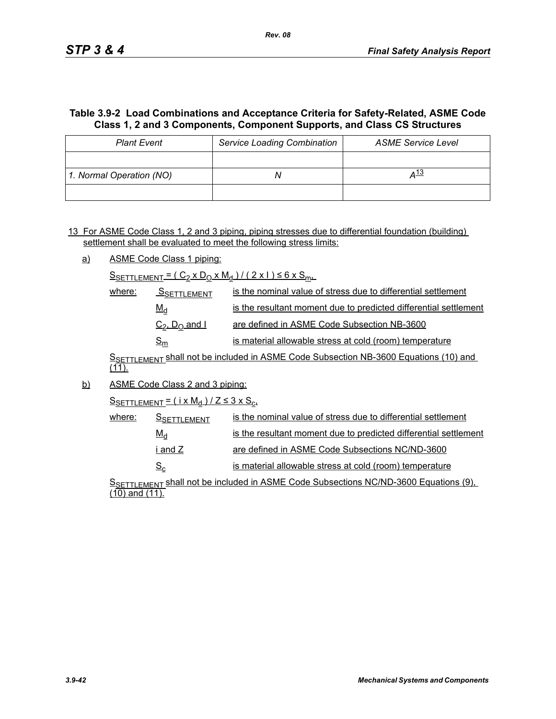# **Table 3.9-2 Load Combinations and Acceptance Criteria for Safety-Related, ASME Code Class 1, 2 and 3 Components, Component Supports, and Class CS Structures**

| <b>Plant Event</b>       | <b>Service Loading Combination</b> | <b>ASME Service Level</b> |
|--------------------------|------------------------------------|---------------------------|
|                          |                                    |                           |
| 1. Normal Operation (NO) |                                    | 4 <sup>13</sup>           |
|                          |                                    |                           |

13 For ASME Code Class 1, 2 and 3 piping, piping stresses due to differential foundation (building) settlement shall be evaluated to meet the following stress limits:

a) ASME Code Class 1 piping:

 $S_{SETTLEMENT} = (C_2 \times D_0 \times M_d) / (2 \times 1) \le 6 \times S_{m+1}$ 

| where: | SSETTLEMENT                           | is the nominal value of stress due to differential settlement    |
|--------|---------------------------------------|------------------------------------------------------------------|
|        | $M_d$                                 | is the resultant moment due to predicted differential settlement |
|        | $C_2$ , $D_0$ and I                   | are defined in ASME Code Subsection NB-3600                      |
|        | $\mathsf{\underline{S}}_{\mathsf{m}}$ | is material allowable stress at cold (room) temperature          |

SSETTLEMENT Shall not be included in ASME Code Subsection NB-3600 Equations (10) and  $(11)$ .

b) ASME Code Class 2 and 3 piping:

 $S$ SETTLEMENT =  $(i \times M_d)/Z \leq 3 \times S_c$ 

| where: | <b>SSETTLEMENT</b> | is the nominal value of stress due to differential settlement    |
|--------|--------------------|------------------------------------------------------------------|
|        | $M_d$              | is the resultant moment due to predicted differential settlement |
|        | i and Z l          | are defined in ASME Code Subsections NC/ND-3600                  |
|        | $S_{\rm c}$        | is material allowable stress at cold (room) temperature          |

S<sub>SETTLEMENT</sub> shall not be included in ASME Code Subsections NC/ND-3600 Equations (9), (10) and (11).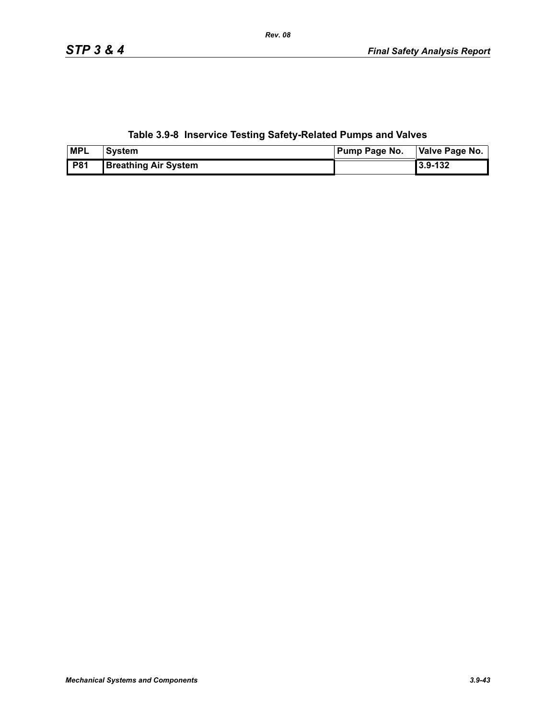# **Table 3.9-8 Inservice Testing Safety-Related Pumps and Valves**

| <b>MPL</b> | <b>System</b>               | <b>Pump Page No.</b> | Valve Page No. |
|------------|-----------------------------|----------------------|----------------|
| <b>P81</b> | <b>Breathing Air System</b> |                      | 3.9-132        |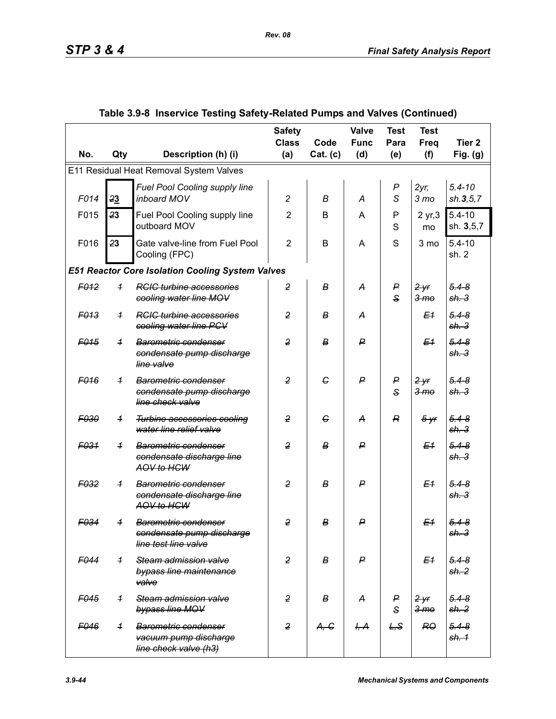|                                         |                |                                                                               | <b>Safety</b><br><b>Class</b> | Code             | Valve<br><b>Func</b> | <b>Test</b><br>Para   | <b>Test</b><br><b>Freq</b> | Tier <sub>2</sub>             |  |  |
|-----------------------------------------|----------------|-------------------------------------------------------------------------------|-------------------------------|------------------|----------------------|-----------------------|----------------------------|-------------------------------|--|--|
| No.                                     | Qty            | Description (h) (i)                                                           | (a)                           | Cat. (c)         | (d)                  | (e)                   | (f)                        | Fig. $(g)$                    |  |  |
| E11 Residual Heat Removal System Valves |                |                                                                               |                               |                  |                      |                       |                            |                               |  |  |
| F014                                    | 23             | Fuel Pool Cooling supply line<br>inboard MOV                                  | $\overline{c}$                | B                | A                    | $\boldsymbol{P}$<br>S | 2yr<br>3 <sub>mo</sub>     | $5.4 - 10$<br>sh.3, 5, 7      |  |  |
| F015                                    | 23             | Fuel Pool Cooling supply line<br>outboard MOV                                 | $\overline{2}$                | B                | A                    | P<br>S                | 2 yr, 3<br>mo              | $5.4 - 10$<br>sh. 3,5,7       |  |  |
| F016                                    | 23             | Gate valve-line from Fuel Pool<br>Cooling (FPC)                               | $\overline{2}$                | B                | A                    | S                     | 3 mo                       | $5.4 - 10$<br>sh. 2           |  |  |
|                                         |                | <b>E51 Reactor Core Isolation Cooling System Valves</b>                       |                               |                  |                      |                       |                            |                               |  |  |
| F <sub>012</sub>                        | $\overline{1}$ | <b>RCIC</b> turbine accessories<br>cooling water line MOV                     | $\overline{2}$                | В                | А                    | P<br>$\mathbf{s}$     | 2yr<br>3 <sub>mo</sub>     | $5.4 - 8$<br>sh.3             |  |  |
| F013                                    | $\overline{1}$ | <b>RGIG turbine accessories</b><br>cooling water line PCV                     | $\overline{2}$                | в                | A                    |                       | E <sub>1</sub>             | $5.4 - 8$<br>sh.3             |  |  |
| F <sub>015</sub>                        | $\overline{1}$ | Barometric condenser<br>condensate pump discharge<br>line valve               | $\overline{2}$                | В                | P                    |                       | E <sub>1</sub>             | $5.4 - 8$<br>sh.3             |  |  |
| F <sub>016</sub>                        | $\overline{1}$ | Barometric condenser<br>condensate pump discharge<br>line check valve         | $\overline{2}$                | G                | P                    | P<br>$\mathbf{s}$     | 2yr<br>$3 \,$ m $\sigma$   | $5.4 - 8$<br>sh.3             |  |  |
| F030                                    | $\overline{1}$ | <b>Turbine accessories cooling</b><br>water line relief valve                 | $\overline{2}$                | $\epsilon$       | A                    | $\mathbb{R}$          | $5 - yr$                   | $5.4 - 8$<br>sh.3             |  |  |
| F <sub>031</sub>                        | $\overline{1}$ | Barometric condenser<br>condensate discharge line<br>AOV to HCW               | $\overline{2}$                | в                | P                    |                       | E <sub>1</sub>             | $5.4 - 8$<br>sh.3             |  |  |
| F <sub>032</sub>                        | $\overline{1}$ | Barometric condenser<br>condensate discharge line<br>AOV to HCW               | $\overline{2}$                | B                | P                    |                       | E <sub>1</sub>             | $5.4 - 8$<br>sh. 3            |  |  |
| F034                                    | $\overline{1}$ | Barometric condenser<br>condensate pump discharge<br>line test line valve     | $\overline{2}$                | в                | ₽                    |                       | E <sub>1</sub>             | $5.4 - 8$<br><del>sh. 3</del> |  |  |
| F <sub>044</sub>                        | $\overline{1}$ | Steam admission valve<br>bypass line maintenance<br>valve                     | $\overline{2}$                | В                | $\mathsf{P}$         |                       | E <sub>1</sub>             | $5.4 - 8$<br>sh. 2            |  |  |
| F045                                    | $\overline{1}$ | Steam admission valve<br>bypass line MOV                                      | $\overline{2}$                | В                | A                    | P<br>$\mathsf S$      | 2yr<br>3 <sub>mo</sub>     | $5.4 - 8$<br>sh. 2            |  |  |
| F046                                    | $\overline{1}$ | <b>Barometric condenser</b><br>vacuum pump discharge<br>line check valve (h3) | $\overline{2}$                | A <del>, C</del> | I <del>, A</del>     | L, S                  | R <sup>O</sup>             | $5.4 - 8$<br>sh. 1            |  |  |

# **Table 3.9-8 Inservice Testing Safety-Related Pumps and Valves (Continued)**

*Rev. 08*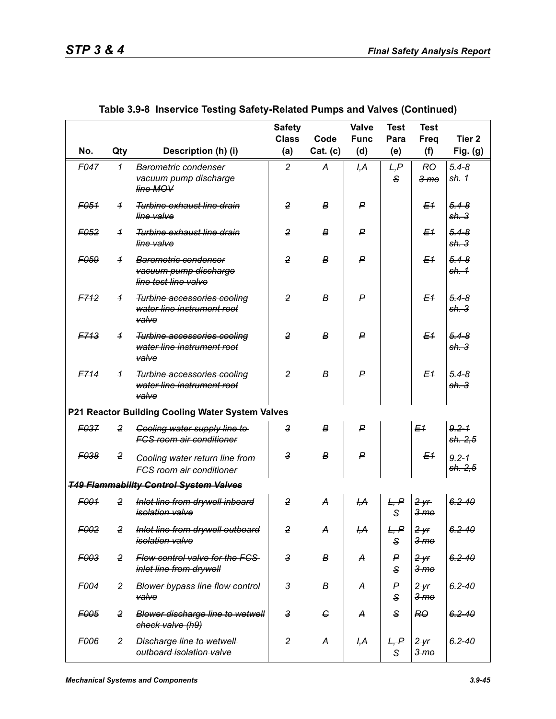|                  |                |                                                                           | <b>Safety</b><br><b>Class</b> | Code       | Valve<br><b>Func</b> | <b>Test</b><br>Para  | <b>Test</b><br>Freq                 | Tier <sub>2</sub>            |
|------------------|----------------|---------------------------------------------------------------------------|-------------------------------|------------|----------------------|----------------------|-------------------------------------|------------------------------|
| No.              | Qty            | Description (h) (i)                                                       | (a)                           | Cat. (c)   | (d)                  | (e)                  | (f)                                 | Fig. (g)                     |
| F047             | $\overline{1}$ | <b>Barometric condenser</b><br>vacuum pump discharge<br>line MOV          | $\overline{2}$                | A          | H <sub>1</sub> A     | L, P<br>$\mathbf{s}$ | <b>RO</b><br>3 <sub>mo</sub>        | $5.4 - 8$<br>sh. 1           |
| F <sub>051</sub> | $\overline{1}$ | Turbine exhaust line drain<br>line valve                                  | $\overline{2}$                | В          | P                    |                      | E <sub>1</sub>                      | $5.4 - 8$<br>sh.3            |
| F <sub>052</sub> | $\overline{1}$ | Turbine exhaust line drain<br>line valve                                  | $\overline{2}$                | В          | ₽                    |                      | E <sub>1</sub>                      | $5.4 - 8$<br>sh.3            |
| F <sub>059</sub> | $\overline{1}$ | Barometric condenser<br>vacuum pump discharge<br>line test line valve     | $\overline{2}$                | В          | $\boldsymbol{P}$     |                      | E <sub>1</sub>                      | $5.4 - 8$<br>sh <sub>1</sub> |
| F712             | $\overline{1}$ | Turbine accessories cooling<br>water line instrument root<br>valve        | $\overline{2}$                | B          | $\mathsf{P}$         |                      | E <sub>1</sub>                      | $5.4 - 8$<br>sh.3            |
| F713             | $\overline{1}$ | Turbine accessories cooling<br>water line instrument root<br>valve        | $\overline{2}$                | В          | $\mathsf{P}$         |                      | E <sub>1</sub>                      | $5.4 - 8$<br>sh <sub>3</sub> |
| F714             | $\overline{1}$ | Turbine accessories cooling<br>water line instrument root<br>valve        | $\overline{2}$                | B          | $\mathsf{P}$         |                      | E <sub>1</sub>                      | $5.4 - 8$<br>sh.3            |
|                  |                | P21 Reactor Building Cooling Water System Valves                          |                               |            |                      |                      |                                     |                              |
| F <sub>037</sub> | $\overline{2}$ | Cooling water supply line to<br><b>FCS room air conditioner</b>           | 3                             | B          | $\mathsf{P}$         |                      | E <sub>1</sub>                      | $9.2 - 1$<br>sh. 2,5         |
| <b>F038</b>      | $\overline{2}$ | <b>Cooling water return line from-</b><br><b>FCS room air conditioner</b> | 3                             | B          | ₽                    |                      | E <sub>1</sub>                      | $9.2 - 1$<br>sh. 2,5         |
|                  |                | <b>T49 Flammability Control System Valves</b>                             |                               |            |                      |                      |                                     |                              |
| F001             | 2              | Inlet line from drywell inboard<br><i>isolation</i> valve                 | $\overline{2}$                | A          | H <sub>1</sub> A     | L, P<br>S            | 2yr<br>3 <sub>me</sub>              | $6.2 - 40$                   |
| F002             | $\overline{2}$ | Inlet line from drywell outboard<br><i>isolation valve</i>                | 2                             | A          | I <del>,A</del>      | L, P<br>$\mathsf{s}$ | 2 <sup>y</sup> r<br>3 <sub>me</sub> | $6.2 - 40$                   |
| F003             | $\overline{2}$ | Flow control valve for the FCS<br>inlet line from drywell                 | 3                             | В          | A                    | P<br>S               | 2yr<br>3 <sub>me</sub>              | $6.2 - 40$                   |
| F004             | $\overline{2}$ | <b>Blower bypass line flow control</b><br>valve                           | 3                             | В          | А                    | P<br>S               | 2yr<br>3 <sub>me</sub>              | $6.2 - 40$                   |
| F005             | $\overline{2}$ | Blower discharge line to wetwell<br>check valve (h9)                      | $\overline{3}$                | $\epsilon$ | A                    | S                    | R <sub>0</sub>                      | $6.2 - 40$                   |
| F006             | $\overline{2}$ | <b>Discharge line to wetwell-</b><br>outboard isolation valve             | 2                             | A          | <del>I,А</del>       | L, P<br>S            | 2yr<br>3 <sub>mo</sub>              | $6.2 - 40$                   |

|  | Table 3.9-8 Inservice Testing Safety-Related Pumps and Valves (Continued) |  |  |  |
|--|---------------------------------------------------------------------------|--|--|--|
|  |                                                                           |  |  |  |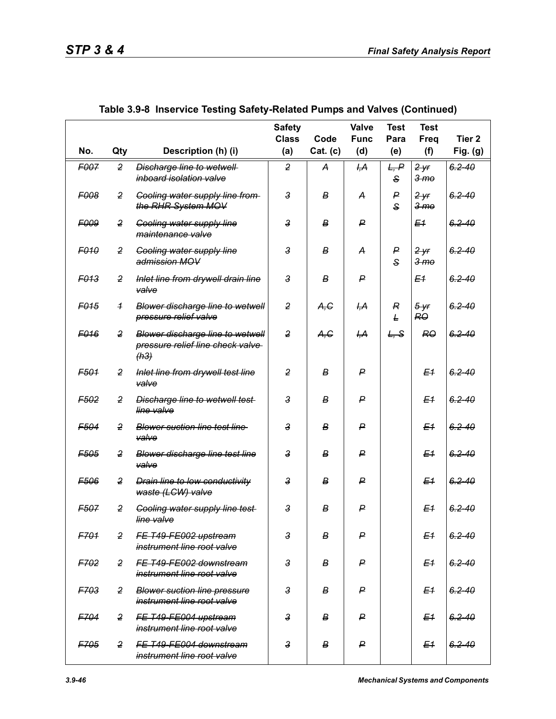|                  |                |                                                                                     | <b>Safety</b><br><b>Class</b> | Code     | <b>Valve</b><br><b>Func</b> | <b>Test</b><br>Para | <b>Test</b><br>Freq         | Tier <sub>2</sub> |
|------------------|----------------|-------------------------------------------------------------------------------------|-------------------------------|----------|-----------------------------|---------------------|-----------------------------|-------------------|
| No.              | Qty            | Description (h) (i)                                                                 | (a)                           | Cat. (c) | (d)                         | (e)                 | (f)                         | Fig. (g)          |
| F007             | $\overline{2}$ | Discharge line to wetwell<br>inboard isolation valve                                | $\overline{2}$                | A        | H <sub>1</sub> A            | L, P<br>S           | 2yr<br><del>3 mo</del>      | $6.2 - 40$        |
| <b>F008</b>      | $\overline{2}$ | <b>Cooling water supply line from-</b><br>the RHR System MOV                        | $\mathbf{3}$                  | В        | А                           | P<br>S              | $2 - yr$<br><del>3 mo</del> | $6.2 - 40$        |
| <b>E009</b>      | $\overline{2}$ | <b>Cooling water supply line</b><br>maintenance valve                               | $\overline{3}$                | в        | P                           |                     | E1                          | $6.2 - 40$        |
| <b>F010</b>      | $\overline{2}$ | <b>Cooling water supply line</b><br>admission MOV                                   | $\overline{3}$                | В        | А                           | P<br>S              | 2yr<br>3 <sub>mo</sub>      | $6.2 - 40$        |
| <b>F013</b>      | $\overline{2}$ | Inlet line from drywell drain line<br>valve                                         | $\mathsf{3}$                  | В        | ₽                           |                     | E <sub>1</sub>              | $6.2 - 40$        |
| F <sub>015</sub> | $\overline{1}$ | Blower discharge line to wetwell<br>pressure relief valve                           | $\overline{2}$                | A,C      | ĻА                          | R<br>Ł              | $5 - yr$<br>RO              | $6.2 - 40$        |
| F <sub>016</sub> | $\overline{2}$ | <b>Blower discharge line to wetwell</b><br>pressure relief line check valve<br>(h3) | 2                             | A, G     | <del>І,А</del>              | L, S                | <b>RO</b>                   | $6.2 - 40$        |
| F <sub>501</sub> | $\overline{2}$ | Inlet line from drywell test line<br>valve                                          | $\overline{2}$                | B        | ₽                           |                     | E <sub>1</sub>              | $6.2 - 40$        |
| F <sub>502</sub> | 2              | <b>Discharge line to wetwell test-</b><br>line valve                                | $\overline{3}$                | B        | ₽                           |                     | E <sub>1</sub>              | $6.2 - 40$        |
| F <sub>504</sub> | $\overline{2}$ | <b>Blower suction line test line</b><br>valve                                       | $\overline{3}$                | B        | ₽                           |                     | E <sub>1</sub>              | $6.2 - 40$        |
| F <sub>505</sub> | $\overline{2}$ | <b>Blower discharge line test line</b><br>valve                                     | $\mathbf{3}$                  | В        | P                           |                     | E <sub>1</sub>              | $6.2 - 40$        |
| F506             | $\overline{2}$ | <b>Drain line to low conductivity</b><br>waste (LCW) valve                          | $\overline{3}$                | B        | ₽                           |                     | E <sub>1</sub>              | $6.2 - 40$        |
| <b>F507</b>      | $\overline{2}$ | <b>Cooling water supply line test-</b><br>line valve                                | $\overline{3}$                | В        | P                           |                     | E <sub>1</sub>              | $6.2 - 40$        |
| F701             | $\overline{2}$ | FE T49-FE002 upstream<br>instrument line root valve                                 | $\overline{3}$                | В        | P                           |                     | E <sub>1</sub>              | $6.2 - 40$        |
| F702             | $\overline{2}$ | FE T49-FE002 downstream<br>instrument line root valve                               | $\mathbf{3}$                  | В        | P                           |                     | E <sub>1</sub>              | $6.2 - 40$        |
| <b>F703</b>      | $\overline{2}$ | <b>Blower suction line pressure</b><br>instrument line root valve                   | $\mathbf{3}$                  | В        | P                           |                     | E <sub>1</sub>              | $6.2 - 40$        |
| F704             | $\overline{2}$ | FE T49-FE004 upstream<br>instrument line root valve                                 | $\overline{3}$                | В        | P                           |                     | E <sub>1</sub>              | $6.2 - 40$        |
| F705             | 2              | FE T49-FE004 downstream<br>instrument line root valve                               | $\mathbf{3}$                  | В        | P                           |                     | E <sub>1</sub>              | $6.2 - 40$        |

|  | Table 3.9-8  Inservice Testing Safety-Related Pumps and Valves (Continued) |  |
|--|----------------------------------------------------------------------------|--|
|  |                                                                            |  |
|  |                                                                            |  |